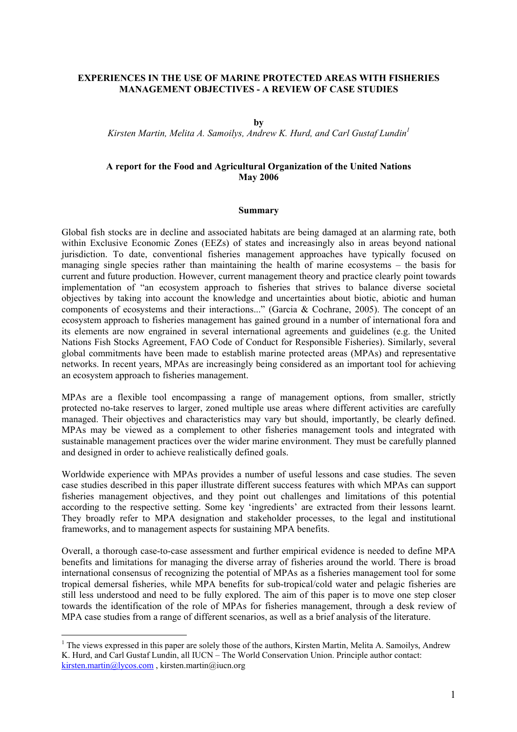#### **EXPERIENCES IN THE USE OF MARINE PROTECTED AREAS WITH FISHERIES MANAGEMENT OBJECTIVES - A REVIEW OF CASE STUDIES**

**by** 

*Kirsten Martin, Melita A. Samoilys, Andrew K. Hurd, and Carl Gustaf Lundin1*

### **A report for the Food and Agricultural Organization of the United Nations May 2006**

#### **Summary**

Global fish stocks are in decline and associated habitats are being damaged at an alarming rate, both within Exclusive Economic Zones (EEZs) of states and increasingly also in areas beyond national jurisdiction. To date, conventional fisheries management approaches have typically focused on managing single species rather than maintaining the health of marine ecosystems – the basis for current and future production. However, current management theory and practice clearly point towards implementation of "an ecosystem approach to fisheries that strives to balance diverse societal objectives by taking into account the knowledge and uncertainties about biotic, abiotic and human components of ecosystems and their interactions..." (Garcia & Cochrane, 2005). The concept of an ecosystem approach to fisheries management has gained ground in a number of international fora and its elements are now engrained in several international agreements and guidelines (e.g. the United Nations Fish Stocks Agreement, FAO Code of Conduct for Responsible Fisheries). Similarly, several global commitments have been made to establish marine protected areas (MPAs) and representative networks. In recent years, MPAs are increasingly being considered as an important tool for achieving an ecosystem approach to fisheries management.

MPAs are a flexible tool encompassing a range of management options, from smaller, strictly protected no-take reserves to larger, zoned multiple use areas where different activities are carefully managed. Their objectives and characteristics may vary but should, importantly, be clearly defined. MPAs may be viewed as a complement to other fisheries management tools and integrated with sustainable management practices over the wider marine environment. They must be carefully planned and designed in order to achieve realistically defined goals.

Worldwide experience with MPAs provides a number of useful lessons and case studies. The seven case studies described in this paper illustrate different success features with which MPAs can support fisheries management objectives, and they point out challenges and limitations of this potential according to the respective setting. Some key 'ingredients' are extracted from their lessons learnt. They broadly refer to MPA designation and stakeholder processes, to the legal and institutional frameworks, and to management aspects for sustaining MPA benefits.

Overall, a thorough case-to-case assessment and further empirical evidence is needed to define MPA benefits and limitations for managing the diverse array of fisheries around the world. There is broad international consensus of recognizing the potential of MPAs as a fisheries management tool for some tropical demersal fisheries, while MPA benefits for sub-tropical/cold water and pelagic fisheries are still less understood and need to be fully explored. The aim of this paper is to move one step closer towards the identification of the role of MPAs for fisheries management, through a desk review of MPA case studies from a range of different scenarios, as well as a brief analysis of the literature.

 $\overline{a}$ 

 $<sup>1</sup>$  The views expressed in this paper are solely those of the authors, Kirsten Martin, Melita A. Samoilys, Andrew</sup> K. Hurd, and Carl Gustaf Lundin, all IUCN – The World Conservation Union. Principle author contact: kirsten.martin@lycos.com , kirsten.martin@iucn.org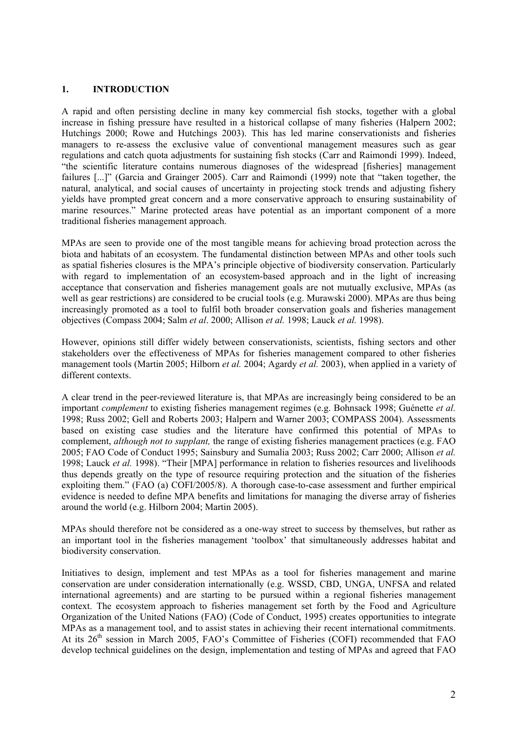### **1. INTRODUCTION**

A rapid and often persisting decline in many key commercial fish stocks, together with a global increase in fishing pressure have resulted in a historical collapse of many fisheries (Halpern 2002; Hutchings 2000; Rowe and Hutchings 2003). This has led marine conservationists and fisheries managers to re-assess the exclusive value of conventional management measures such as gear regulations and catch quota adjustments for sustaining fish stocks (Carr and Raimondi 1999). Indeed, "the scientific literature contains numerous diagnoses of the widespread [fisheries] management failures [...]" (Garcia and Grainger 2005). Carr and Raimondi (1999) note that "taken together, the natural, analytical, and social causes of uncertainty in projecting stock trends and adjusting fishery yields have prompted great concern and a more conservative approach to ensuring sustainability of marine resources." Marine protected areas have potential as an important component of a more traditional fisheries management approach.

MPAs are seen to provide one of the most tangible means for achieving broad protection across the biota and habitats of an ecosystem. The fundamental distinction between MPAs and other tools such as spatial fisheries closures is the MPA's principle objective of biodiversity conservation. Particularly with regard to implementation of an ecosystem-based approach and in the light of increasing acceptance that conservation and fisheries management goals are not mutually exclusive, MPAs (as well as gear restrictions) are considered to be crucial tools (e.g. Murawski 2000). MPAs are thus being increasingly promoted as a tool to fulfil both broader conservation goals and fisheries management objectives (Compass 2004; Salm *et al*. 2000; Allison *et al.* 1998; Lauck *et al.* 1998).

However, opinions still differ widely between conservationists, scientists, fishing sectors and other stakeholders over the effectiveness of MPAs for fisheries management compared to other fisheries management tools (Martin 2005; Hilborn *et al.* 2004; Agardy *et al.* 2003), when applied in a variety of different contexts.

A clear trend in the peer-reviewed literature is, that MPAs are increasingly being considered to be an important *complement* to existing fisheries management regimes (e.g. Bohnsack 1998; Guénette *et al.* 1998; Russ 2002; Gell and Roberts 2003; Halpern and Warner 2003; COMPASS 2004). Assessments based on existing case studies and the literature have confirmed this potential of MPAs to complement, *although not to supplant,* the range of existing fisheries management practices (e.g. FAO 2005; FAO Code of Conduct 1995; Sainsbury and Sumalia 2003; Russ 2002; Carr 2000; Allison *et al.* 1998; Lauck *et al.* 1998). "Their [MPA] performance in relation to fisheries resources and livelihoods thus depends greatly on the type of resource requiring protection and the situation of the fisheries exploiting them." (FAO (a) COFI/2005/8). A thorough case-to-case assessment and further empirical evidence is needed to define MPA benefits and limitations for managing the diverse array of fisheries around the world (e.g. Hilborn 2004; Martin 2005).

MPAs should therefore not be considered as a one-way street to success by themselves, but rather as an important tool in the fisheries management 'toolbox' that simultaneously addresses habitat and biodiversity conservation.

Initiatives to design, implement and test MPAs as a tool for fisheries management and marine conservation are under consideration internationally (e.g. WSSD, CBD, UNGA, UNFSA and related international agreements) and are starting to be pursued within a regional fisheries management context. The ecosystem approach to fisheries management set forth by the Food and Agriculture Organization of the United Nations (FAO) (Code of Conduct, 1995) creates opportunities to integrate MPAs as a management tool, and to assist states in achieving their recent international commitments. At its  $26<sup>th</sup>$  session in March 2005, FAO's Committee of Fisheries (COFI) recommended that FAO develop technical guidelines on the design, implementation and testing of MPAs and agreed that FAO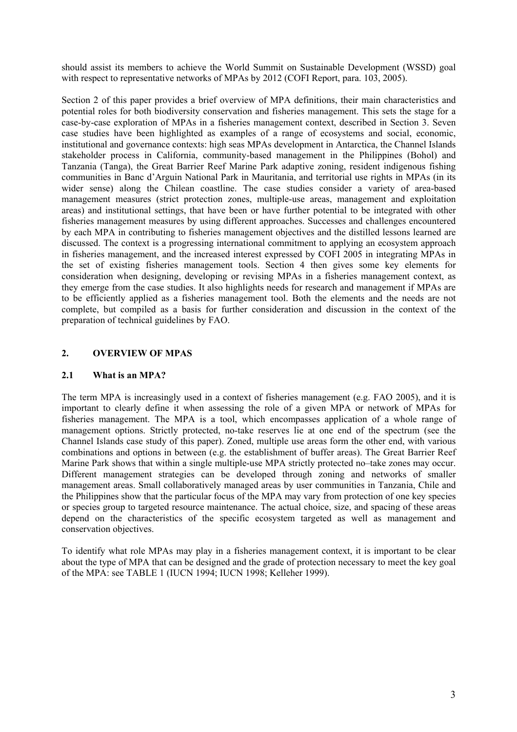should assist its members to achieve the World Summit on Sustainable Development (WSSD) goal with respect to representative networks of MPAs by 2012 (COFI Report, para. 103, 2005).

Section 2 of this paper provides a brief overview of MPA definitions, their main characteristics and potential roles for both biodiversity conservation and fisheries management. This sets the stage for a case-by-case exploration of MPAs in a fisheries management context, described in Section 3. Seven case studies have been highlighted as examples of a range of ecosystems and social, economic, institutional and governance contexts: high seas MPAs development in Antarctica, the Channel Islands stakeholder process in California, community-based management in the Philippines (Bohol) and Tanzania (Tanga), the Great Barrier Reef Marine Park adaptive zoning, resident indigenous fishing communities in Banc d'Arguin National Park in Mauritania, and territorial use rights in MPAs (in its wider sense) along the Chilean coastline. The case studies consider a variety of area-based management measures (strict protection zones, multiple-use areas, management and exploitation areas) and institutional settings, that have been or have further potential to be integrated with other fisheries management measures by using different approaches. Successes and challenges encountered by each MPA in contributing to fisheries management objectives and the distilled lessons learned are discussed. The context is a progressing international commitment to applying an ecosystem approach in fisheries management, and the increased interest expressed by COFI 2005 in integrating MPAs in the set of existing fisheries management tools. Section 4 then gives some key elements for consideration when designing, developing or revising MPAs in a fisheries management context, as they emerge from the case studies. It also highlights needs for research and management if MPAs are to be efficiently applied as a fisheries management tool. Both the elements and the needs are not complete, but compiled as a basis for further consideration and discussion in the context of the preparation of technical guidelines by FAO.

# **2. OVERVIEW OF MPAS**

### **2.1 What is an MPA?**

The term MPA is increasingly used in a context of fisheries management (e.g. FAO 2005), and it is important to clearly define it when assessing the role of a given MPA or network of MPAs for fisheries management. The MPA is a tool, which encompasses application of a whole range of management options. Strictly protected, no-take reserves lie at one end of the spectrum (see the Channel Islands case study of this paper). Zoned, multiple use areas form the other end, with various combinations and options in between (e.g. the establishment of buffer areas). The Great Barrier Reef Marine Park shows that within a single multiple-use MPA strictly protected no–take zones may occur. Different management strategies can be developed through zoning and networks of smaller management areas. Small collaboratively managed areas by user communities in Tanzania, Chile and the Philippines show that the particular focus of the MPA may vary from protection of one key species or species group to targeted resource maintenance. The actual choice, size, and spacing of these areas depend on the characteristics of the specific ecosystem targeted as well as management and conservation objectives.

To identify what role MPAs may play in a fisheries management context, it is important to be clear about the type of MPA that can be designed and the grade of protection necessary to meet the key goal of the MPA: see TABLE 1 (IUCN 1994; IUCN 1998; Kelleher 1999).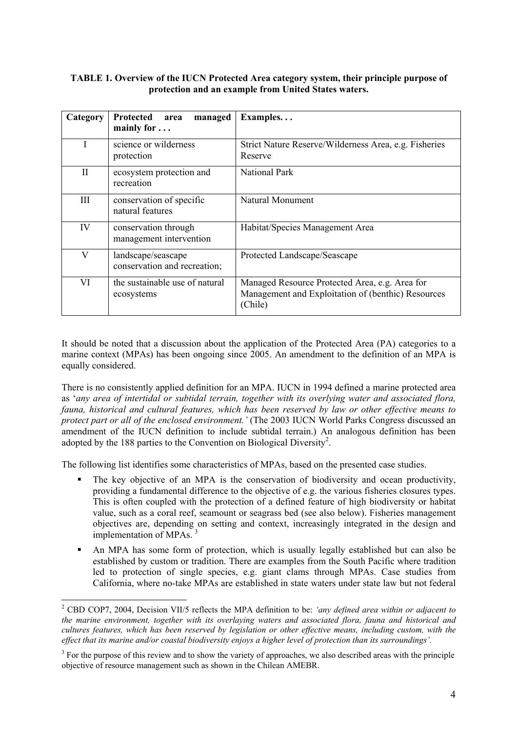### **TABLE 1. Overview of the IUCN Protected Area category system, their principle purpose of protection and an example from United States waters.**

| Category | Protected<br>managed<br>area<br>mainly for $\dots$ | Examples                                                                                                        |
|----------|----------------------------------------------------|-----------------------------------------------------------------------------------------------------------------|
|          | science or wilderness<br>protection                | Strict Nature Reserve/Wilderness Area, e.g. Fisheries<br>Reserve                                                |
| H        | ecosystem protection and<br>recreation             | <b>National Park</b>                                                                                            |
| Ш        | conservation of specific<br>natural features       | Natural Monument                                                                                                |
| IV       | conservation through<br>management intervention    | Habitat/Species Management Area                                                                                 |
| V        | landscape/seascape<br>conservation and recreation; | Protected Landscape/Seascape                                                                                    |
| VI       | the sustainable use of natural<br>ecosystems       | Managed Resource Protected Area, e.g. Area for<br>Management and Exploitation of (benthic) Resources<br>(Chile) |

It should be noted that a discussion about the application of the Protected Area (PA) categories to a marine context (MPAs) has been ongoing since 2005. An amendment to the definition of an MPA is equally considered.

There is no consistently applied definition for an MPA. IUCN in 1994 defined a marine protected area as '*any area of intertidal or subtidal terrain, together with its overlying water and associated flora, fauna, historical and cultural features, which has been reserved by law or other effective means to protect part or all of the enclosed environment.'* (The 2003 IUCN World Parks Congress discussed an amendment of the IUCN definition to include subtidal terrain.) An analogous definition has been adopted by the 188 parties to the Convention on Biological Diversity<sup>2</sup>.

The following list identifies some characteristics of MPAs, based on the presented case studies.

- The key objective of an MPA is the conservation of biodiversity and ocean productivity, providing a fundamental difference to the objective of e.g. the various fisheries closures types. This is often coupled with the protection of a defined feature of high biodiversity or habitat value, such as a coral reef, seamount or seagrass bed (see also below). Fisheries management objectives are, depending on setting and context, increasingly integrated in the design and implementation of MPAs.<sup>3</sup>
- An MPA has some form of protection, which is usually legally established but can also be established by custom or tradition. There are examples from the South Pacific where tradition led to protection of single species, e.g. giant clams through MPAs. Case studies from California, where no-take MPAs are established in state waters under state law but not federal

 $\overline{a}$ 

<sup>2</sup> CBD COP7, 2004, Decision VII/5 reflects the MPA definition to be: *'any defined area within or adjacent to the marine environment, together with its overlaying waters and associated flora, fauna and historical and cultures features, which has been reserved by legislation or other effective means, including custom, with the effect that its marine and/or coastal biodiversity enjoys a higher level of protection than its surroundings'.* 

 $3$  For the purpose of this review and to show the variety of approaches, we also described areas with the principle objective of resource management such as shown in the Chilean AMEBR.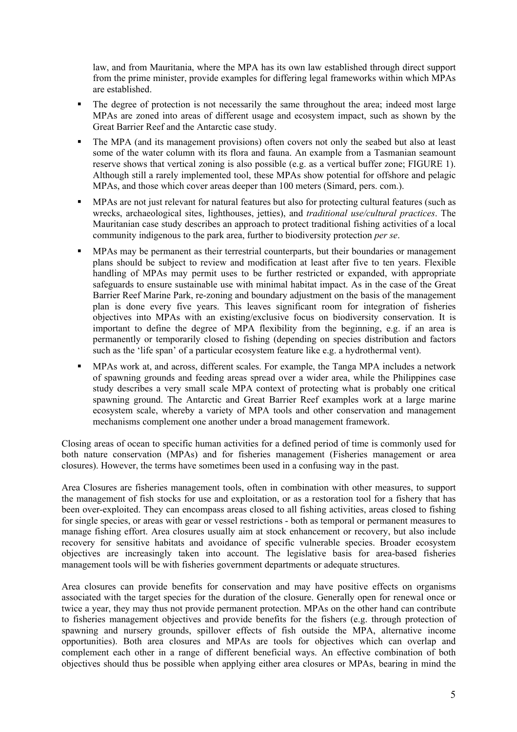law, and from Mauritania, where the MPA has its own law established through direct support from the prime minister, provide examples for differing legal frameworks within which MPAs are established.

- The degree of protection is not necessarily the same throughout the area; indeed most large MPAs are zoned into areas of different usage and ecosystem impact, such as shown by the Great Barrier Reef and the Antarctic case study.
- The MPA (and its management provisions) often covers not only the seabed but also at least some of the water column with its flora and fauna. An example from a Tasmanian seamount reserve shows that vertical zoning is also possible (e.g. as a vertical buffer zone; FIGURE 1). Although still a rarely implemented tool, these MPAs show potential for offshore and pelagic MPAs, and those which cover areas deeper than 100 meters (Simard, pers. com.).
- MPAs are not just relevant for natural features but also for protecting cultural features (such as wrecks, archaeological sites, lighthouses, jetties), and *traditional use/cultural practices*. The Mauritanian case study describes an approach to protect traditional fishing activities of a local community indigenous to the park area, further to biodiversity protection *per se*.
- MPAs may be permanent as their terrestrial counterparts, but their boundaries or management plans should be subject to review and modification at least after five to ten years. Flexible handling of MPAs may permit uses to be further restricted or expanded, with appropriate safeguards to ensure sustainable use with minimal habitat impact. As in the case of the Great Barrier Reef Marine Park, re-zoning and boundary adjustment on the basis of the management plan is done every five years. This leaves significant room for integration of fisheries objectives into MPAs with an existing/exclusive focus on biodiversity conservation. It is important to define the degree of MPA flexibility from the beginning, e.g. if an area is permanently or temporarily closed to fishing (depending on species distribution and factors such as the 'life span' of a particular ecosystem feature like e.g. a hydrothermal vent).
- MPAs work at, and across, different scales. For example, the Tanga MPA includes a network of spawning grounds and feeding areas spread over a wider area, while the Philippines case study describes a very small scale MPA context of protecting what is probably one critical spawning ground. The Antarctic and Great Barrier Reef examples work at a large marine ecosystem scale, whereby a variety of MPA tools and other conservation and management mechanisms complement one another under a broad management framework.

Closing areas of ocean to specific human activities for a defined period of time is commonly used for both nature conservation (MPAs) and for fisheries management (Fisheries management or area closures). However, the terms have sometimes been used in a confusing way in the past.

Area Closures are fisheries management tools, often in combination with other measures, to support the management of fish stocks for use and exploitation, or as a restoration tool for a fishery that has been over-exploited. They can encompass areas closed to all fishing activities, areas closed to fishing for single species, or areas with gear or vessel restrictions - both as temporal or permanent measures to manage fishing effort. Area closures usually aim at stock enhancement or recovery, but also include recovery for sensitive habitats and avoidance of specific vulnerable species. Broader ecosystem objectives are increasingly taken into account. The legislative basis for area-based fisheries management tools will be with fisheries government departments or adequate structures.

Area closures can provide benefits for conservation and may have positive effects on organisms associated with the target species for the duration of the closure. Generally open for renewal once or twice a year, they may thus not provide permanent protection. MPAs on the other hand can contribute to fisheries management objectives and provide benefits for the fishers (e.g. through protection of spawning and nursery grounds, spillover effects of fish outside the MPA, alternative income opportunities). Both area closures and MPAs are tools for objectives which can overlap and complement each other in a range of different beneficial ways. An effective combination of both objectives should thus be possible when applying either area closures or MPAs, bearing in mind the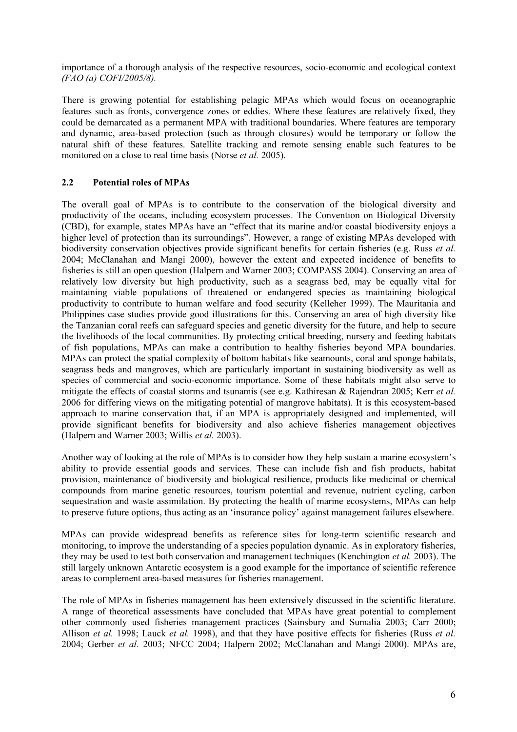importance of a thorough analysis of the respective resources, socio-economic and ecological context *(FAO (a) COFI/2005/8).* 

There is growing potential for establishing pelagic MPAs which would focus on oceanographic features such as fronts, convergence zones or eddies. Where these features are relatively fixed, they could be demarcated as a permanent MPA with traditional boundaries. Where features are temporary and dynamic, area-based protection (such as through closures) would be temporary or follow the natural shift of these features. Satellite tracking and remote sensing enable such features to be monitored on a close to real time basis (Norse *et al.* 2005).

## **2.2 Potential roles of MPAs**

The overall goal of MPAs is to contribute to the conservation of the biological diversity and productivity of the oceans, including ecosystem processes. The Convention on Biological Diversity (CBD), for example, states MPAs have an "effect that its marine and/or coastal biodiversity enjoys a higher level of protection than its surroundings". However, a range of existing MPAs developed with biodiversity conservation objectives provide significant benefits for certain fisheries (e.g. Russ *et al.* 2004; McClanahan and Mangi 2000), however the extent and expected incidence of benefits to fisheries is still an open question (Halpern and Warner 2003; COMPASS 2004). Conserving an area of relatively low diversity but high productivity, such as a seagrass bed, may be equally vital for maintaining viable populations of threatened or endangered species as maintaining biological productivity to contribute to human welfare and food security (Kelleher 1999). The Mauritania and Philippines case studies provide good illustrations for this. Conserving an area of high diversity like the Tanzanian coral reefs can safeguard species and genetic diversity for the future, and help to secure the livelihoods of the local communities. By protecting critical breeding, nursery and feeding habitats of fish populations, MPAs can make a contribution to healthy fisheries beyond MPA boundaries. MPAs can protect the spatial complexity of bottom habitats like seamounts, coral and sponge habitats, seagrass beds and mangroves, which are particularly important in sustaining biodiversity as well as species of commercial and socio-economic importance. Some of these habitats might also serve to mitigate the effects of coastal storms and tsunamis (see e.g. Kathiresan & Rajendran 2005; Kerr *et al.* 2006 for differing views on the mitigating potential of mangrove habitats). It is this ecosystem-based approach to marine conservation that, if an MPA is appropriately designed and implemented, will provide significant benefits for biodiversity and also achieve fisheries management objectives (Halpern and Warner 2003; Willis *et al.* 2003).

Another way of looking at the role of MPAs is to consider how they help sustain a marine ecosystem's ability to provide essential goods and services. These can include fish and fish products, habitat provision, maintenance of biodiversity and biological resilience, products like medicinal or chemical compounds from marine genetic resources, tourism potential and revenue, nutrient cycling, carbon sequestration and waste assimilation. By protecting the health of marine ecosystems, MPAs can help to preserve future options, thus acting as an 'insurance policy' against management failures elsewhere.

MPAs can provide widespread benefits as reference sites for long-term scientific research and monitoring, to improve the understanding of a species population dynamic. As in exploratory fisheries, they may be used to test both conservation and management techniques (Kenchington *et al.* 2003). The still largely unknown Antarctic ecosystem is a good example for the importance of scientific reference areas to complement area-based measures for fisheries management.

The role of MPAs in fisheries management has been extensively discussed in the scientific literature. A range of theoretical assessments have concluded that MPAs have great potential to complement other commonly used fisheries management practices (Sainsbury and Sumalia 2003; Carr 2000; Allison *et al.* 1998; Lauck *et al.* 1998), and that they have positive effects for fisheries (Russ *et al.* 2004; Gerber *et al.* 2003; NFCC 2004; Halpern 2002; McClanahan and Mangi 2000). MPAs are,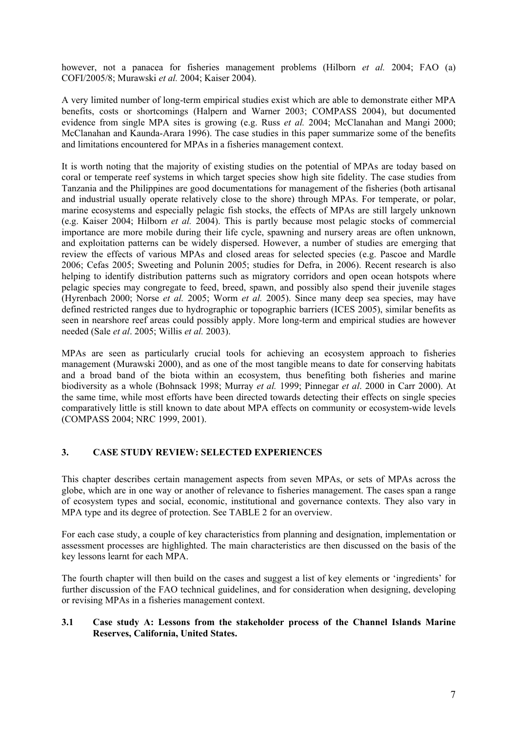however, not a panacea for fisheries management problems (Hilborn *et al.* 2004; FAO (a) COFI/2005/8; Murawski *et al.* 2004; Kaiser 2004).

A very limited number of long-term empirical studies exist which are able to demonstrate either MPA benefits, costs or shortcomings (Halpern and Warner 2003; COMPASS 2004), but documented evidence from single MPA sites is growing (e.g. Russ *et al.* 2004; McClanahan and Mangi 2000; McClanahan and Kaunda-Arara 1996). The case studies in this paper summarize some of the benefits and limitations encountered for MPAs in a fisheries management context.

It is worth noting that the majority of existing studies on the potential of MPAs are today based on coral or temperate reef systems in which target species show high site fidelity. The case studies from Tanzania and the Philippines are good documentations for management of the fisheries (both artisanal and industrial usually operate relatively close to the shore) through MPAs. For temperate, or polar, marine ecosystems and especially pelagic fish stocks, the effects of MPAs are still largely unknown (e.g. Kaiser 2004; Hilborn *et al.* 2004). This is partly because most pelagic stocks of commercial importance are more mobile during their life cycle, spawning and nursery areas are often unknown, and exploitation patterns can be widely dispersed. However, a number of studies are emerging that review the effects of various MPAs and closed areas for selected species (e.g. Pascoe and Mardle 2006; Cefas 2005; Sweeting and Polunin 2005; studies for Defra, in 2006). Recent research is also helping to identify distribution patterns such as migratory corridors and open ocean hotspots where pelagic species may congregate to feed, breed, spawn, and possibly also spend their juvenile stages (Hyrenbach 2000; Norse *et al.* 2005; Worm *et al.* 2005). Since many deep sea species, may have defined restricted ranges due to hydrographic or topographic barriers (ICES 2005), similar benefits as seen in nearshore reef areas could possibly apply. More long-term and empirical studies are however needed (Sale *et al*. 2005; Willis *et al.* 2003).

MPAs are seen as particularly crucial tools for achieving an ecosystem approach to fisheries management (Murawski 2000), and as one of the most tangible means to date for conserving habitats and a broad band of the biota within an ecosystem, thus benefiting both fisheries and marine biodiversity as a whole (Bohnsack 1998; Murray *et al.* 1999; Pinnegar *et al*. 2000 in Carr 2000). At the same time, while most efforts have been directed towards detecting their effects on single species comparatively little is still known to date about MPA effects on community or ecosystem-wide levels (COMPASS 2004; NRC 1999, 2001).

### **3. CASE STUDY REVIEW: SELECTED EXPERIENCES**

This chapter describes certain management aspects from seven MPAs, or sets of MPAs across the globe, which are in one way or another of relevance to fisheries management. The cases span a range of ecosystem types and social, economic, institutional and governance contexts. They also vary in MPA type and its degree of protection. See TABLE 2 for an overview.

For each case study, a couple of key characteristics from planning and designation, implementation or assessment processes are highlighted. The main characteristics are then discussed on the basis of the key lessons learnt for each MPA.

The fourth chapter will then build on the cases and suggest a list of key elements or 'ingredients' for further discussion of the FAO technical guidelines, and for consideration when designing, developing or revising MPAs in a fisheries management context.

#### **3.1 Case study A: Lessons from the stakeholder process of the Channel Islands Marine Reserves, California, United States.**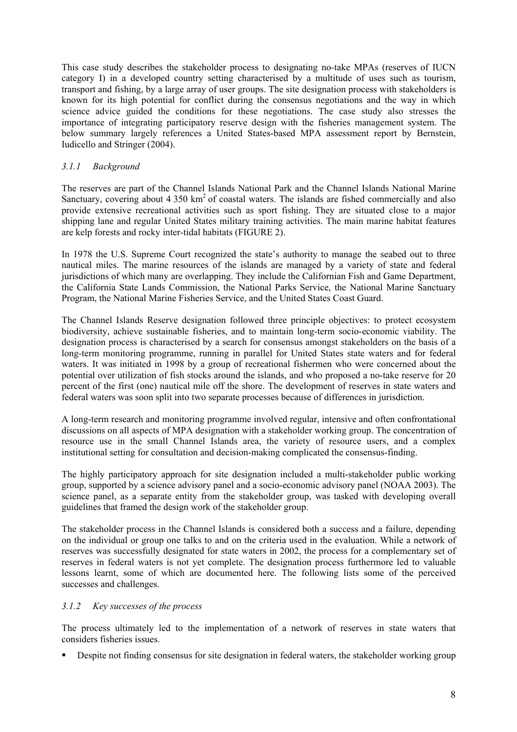This case study describes the stakeholder process to designating no-take MPAs (reserves of IUCN category I) in a developed country setting characterised by a multitude of uses such as tourism, transport and fishing, by a large array of user groups. The site designation process with stakeholders is known for its high potential for conflict during the consensus negotiations and the way in which science advice guided the conditions for these negotiations. The case study also stresses the importance of integrating participatory reserve design with the fisheries management system. The below summary largely references a United States-based MPA assessment report by Bernstein, Iudicello and Stringer (2004).

## *3.1.1 Background*

The reserves are part of the Channel Islands National Park and the Channel Islands National Marine Sanctuary, covering about  $4\,350\ \mathrm{km^2}$  of coastal waters. The islands are fished commercially and also provide extensive recreational activities such as sport fishing. They are situated close to a major shipping lane and regular United States military training activities. The main marine habitat features are kelp forests and rocky inter-tidal habitats (FIGURE 2).

In 1978 the U.S. Supreme Court recognized the state's authority to manage the seabed out to three nautical miles. The marine resources of the islands are managed by a variety of state and federal jurisdictions of which many are overlapping. They include the Californian Fish and Game Department, the California State Lands Commission, the National Parks Service, the National Marine Sanctuary Program, the National Marine Fisheries Service, and the United States Coast Guard.

The Channel Islands Reserve designation followed three principle objectives: to protect ecosystem biodiversity, achieve sustainable fisheries, and to maintain long-term socio-economic viability. The designation process is characterised by a search for consensus amongst stakeholders on the basis of a long-term monitoring programme, running in parallel for United States state waters and for federal waters. It was initiated in 1998 by a group of recreational fishermen who were concerned about the potential over utilization of fish stocks around the islands, and who proposed a no-take reserve for 20 percent of the first (one) nautical mile off the shore. The development of reserves in state waters and federal waters was soon split into two separate processes because of differences in jurisdiction.

A long-term research and monitoring programme involved regular, intensive and often confrontational discussions on all aspects of MPA designation with a stakeholder working group. The concentration of resource use in the small Channel Islands area, the variety of resource users, and a complex institutional setting for consultation and decision-making complicated the consensus-finding.

The highly participatory approach for site designation included a multi-stakeholder public working group, supported by a science advisory panel and a socio-economic advisory panel (NOAA 2003). The science panel, as a separate entity from the stakeholder group, was tasked with developing overall guidelines that framed the design work of the stakeholder group.

The stakeholder process in the Channel Islands is considered both a success and a failure, depending on the individual or group one talks to and on the criteria used in the evaluation. While a network of reserves was successfully designated for state waters in 2002, the process for a complementary set of reserves in federal waters is not yet complete. The designation process furthermore led to valuable lessons learnt, some of which are documented here. The following lists some of the perceived successes and challenges.

### *3.1.2 Key successes of the process*

The process ultimately led to the implementation of a network of reserves in state waters that considers fisheries issues.

Despite not finding consensus for site designation in federal waters, the stakeholder working group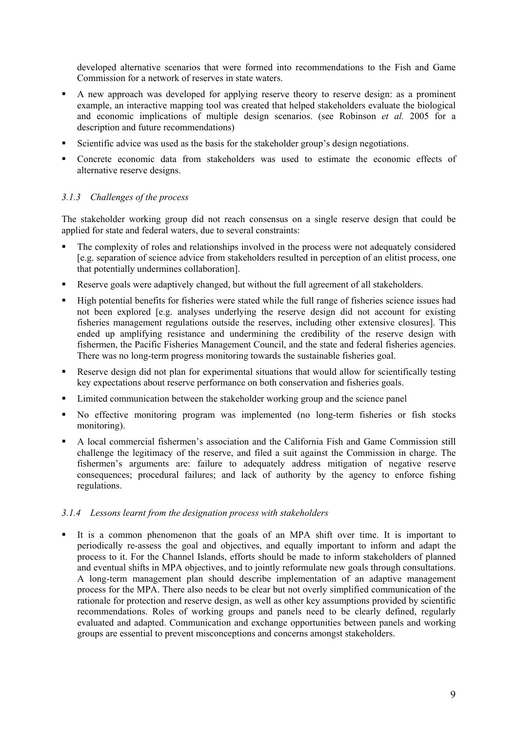developed alternative scenarios that were formed into recommendations to the Fish and Game Commission for a network of reserves in state waters.

- A new approach was developed for applying reserve theory to reserve design: as a prominent example, an interactive mapping tool was created that helped stakeholders evaluate the biological and economic implications of multiple design scenarios. (see Robinson *et al.* 2005 for a description and future recommendations)
- Scientific advice was used as the basis for the stakeholder group's design negotiations.
- Concrete economic data from stakeholders was used to estimate the economic effects of alternative reserve designs.

### *3.1.3 Challenges of the process*

The stakeholder working group did not reach consensus on a single reserve design that could be applied for state and federal waters, due to several constraints:

- The complexity of roles and relationships involved in the process were not adequately considered [e.g. separation of science advice from stakeholders resulted in perception of an elitist process, one that potentially undermines collaboration].
- Reserve goals were adaptively changed, but without the full agreement of all stakeholders.
- High potential benefits for fisheries were stated while the full range of fisheries science issues had not been explored [e.g. analyses underlying the reserve design did not account for existing fisheries management regulations outside the reserves, including other extensive closures]. This ended up amplifying resistance and undermining the credibility of the reserve design with fishermen, the Pacific Fisheries Management Council, and the state and federal fisheries agencies. There was no long-term progress monitoring towards the sustainable fisheries goal.
- Reserve design did not plan for experimental situations that would allow for scientifically testing key expectations about reserve performance on both conservation and fisheries goals.
- Limited communication between the stakeholder working group and the science panel
- No effective monitoring program was implemented (no long-term fisheries or fish stocks monitoring).
- A local commercial fishermen's association and the California Fish and Game Commission still challenge the legitimacy of the reserve, and filed a suit against the Commission in charge. The fishermen's arguments are: failure to adequately address mitigation of negative reserve consequences; procedural failures; and lack of authority by the agency to enforce fishing regulations.

#### *3.1.4 Lessons learnt from the designation process with stakeholders*

 It is a common phenomenon that the goals of an MPA shift over time. It is important to periodically re-assess the goal and objectives, and equally important to inform and adapt the process to it. For the Channel Islands, efforts should be made to inform stakeholders of planned and eventual shifts in MPA objectives, and to jointly reformulate new goals through consultations. A long-term management plan should describe implementation of an adaptive management process for the MPA. There also needs to be clear but not overly simplified communication of the rationale for protection and reserve design, as well as other key assumptions provided by scientific recommendations. Roles of working groups and panels need to be clearly defined, regularly evaluated and adapted. Communication and exchange opportunities between panels and working groups are essential to prevent misconceptions and concerns amongst stakeholders.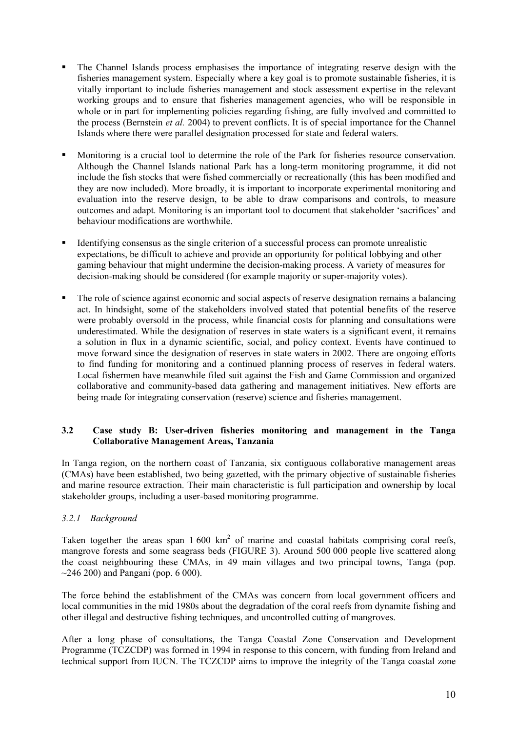- The Channel Islands process emphasises the importance of integrating reserve design with the fisheries management system. Especially where a key goal is to promote sustainable fisheries, it is vitally important to include fisheries management and stock assessment expertise in the relevant working groups and to ensure that fisheries management agencies, who will be responsible in whole or in part for implementing policies regarding fishing, are fully involved and committed to the process (Bernstein *et al.* 2004) to prevent conflicts. It is of special importance for the Channel Islands where there were parallel designation processed for state and federal waters.
- Monitoring is a crucial tool to determine the role of the Park for fisheries resource conservation. Although the Channel Islands national Park has a long-term monitoring programme, it did not include the fish stocks that were fished commercially or recreationally (this has been modified and they are now included). More broadly, it is important to incorporate experimental monitoring and evaluation into the reserve design, to be able to draw comparisons and controls, to measure outcomes and adapt. Monitoring is an important tool to document that stakeholder 'sacrifices' and behaviour modifications are worthwhile.
- Identifying consensus as the single criterion of a successful process can promote unrealistic expectations, be difficult to achieve and provide an opportunity for political lobbying and other gaming behaviour that might undermine the decision-making process. A variety of measures for decision-making should be considered (for example majority or super-majority votes).
- The role of science against economic and social aspects of reserve designation remains a balancing act. In hindsight, some of the stakeholders involved stated that potential benefits of the reserve were probably oversold in the process, while financial costs for planning and consultations were underestimated. While the designation of reserves in state waters is a significant event, it remains a solution in flux in a dynamic scientific, social, and policy context. Events have continued to move forward since the designation of reserves in state waters in 2002. There are ongoing efforts to find funding for monitoring and a continued planning process of reserves in federal waters. Local fishermen have meanwhile filed suit against the Fish and Game Commission and organized collaborative and community-based data gathering and management initiatives. New efforts are being made for integrating conservation (reserve) science and fisheries management.

### **3.2 Case study B: User-driven fisheries monitoring and management in the Tanga Collaborative Management Areas, Tanzania**

In Tanga region, on the northern coast of Tanzania, six contiguous collaborative management areas (CMAs) have been established, two being gazetted, with the primary objective of sustainable fisheries and marine resource extraction. Their main characteristic is full participation and ownership by local stakeholder groups, including a user-based monitoring programme.

### *3.2.1 Background*

Taken together the areas span  $1600 \text{ km}^2$  of marine and coastal habitats comprising coral reefs, mangrove forests and some seagrass beds (FIGURE 3). Around 500 000 people live scattered along the coast neighbouring these CMAs, in 49 main villages and two principal towns, Tanga (pop.  $\sim$ 246 200) and Pangani (pop. 6 000).

The force behind the establishment of the CMAs was concern from local government officers and local communities in the mid 1980s about the degradation of the coral reefs from dynamite fishing and other illegal and destructive fishing techniques, and uncontrolled cutting of mangroves.

After a long phase of consultations, the Tanga Coastal Zone Conservation and Development Programme (TCZCDP) was formed in 1994 in response to this concern, with funding from Ireland and technical support from IUCN. The TCZCDP aims to improve the integrity of the Tanga coastal zone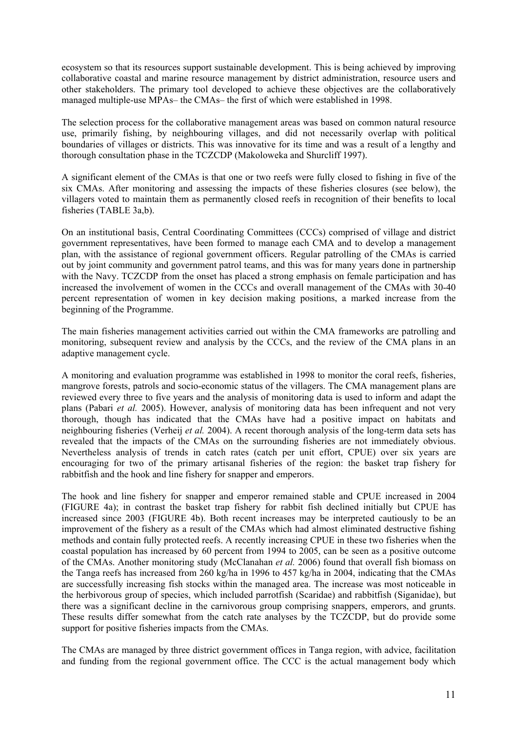ecosystem so that its resources support sustainable development. This is being achieved by improving collaborative coastal and marine resource management by district administration, resource users and other stakeholders. The primary tool developed to achieve these objectives are the collaboratively managed multiple-use MPAs– the CMAs– the first of which were established in 1998.

The selection process for the collaborative management areas was based on common natural resource use, primarily fishing, by neighbouring villages, and did not necessarily overlap with political boundaries of villages or districts. This was innovative for its time and was a result of a lengthy and thorough consultation phase in the TCZCDP (Makoloweka and Shurcliff 1997).

A significant element of the CMAs is that one or two reefs were fully closed to fishing in five of the six CMAs. After monitoring and assessing the impacts of these fisheries closures (see below), the villagers voted to maintain them as permanently closed reefs in recognition of their benefits to local fisheries (TABLE 3a,b).

On an institutional basis, Central Coordinating Committees (CCCs) comprised of village and district government representatives, have been formed to manage each CMA and to develop a management plan, with the assistance of regional government officers. Regular patrolling of the CMAs is carried out by joint community and government patrol teams, and this was for many years done in partnership with the Navy. TCZCDP from the onset has placed a strong emphasis on female participation and has increased the involvement of women in the CCCs and overall management of the CMAs with 30-40 percent representation of women in key decision making positions, a marked increase from the beginning of the Programme.

The main fisheries management activities carried out within the CMA frameworks are patrolling and monitoring, subsequent review and analysis by the CCCs, and the review of the CMA plans in an adaptive management cycle.

A monitoring and evaluation programme was established in 1998 to monitor the coral reefs, fisheries, mangrove forests, patrols and socio-economic status of the villagers. The CMA management plans are reviewed every three to five years and the analysis of monitoring data is used to inform and adapt the plans (Pabari *et al.* 2005). However, analysis of monitoring data has been infrequent and not very thorough, though has indicated that the CMAs have had a positive impact on habitats and neighbouring fisheries (Verheij *et al.* 2004). A recent thorough analysis of the long-term data sets has revealed that the impacts of the CMAs on the surrounding fisheries are not immediately obvious. Nevertheless analysis of trends in catch rates (catch per unit effort, CPUE) over six years are encouraging for two of the primary artisanal fisheries of the region: the basket trap fishery for rabbitfish and the hook and line fishery for snapper and emperors.

The hook and line fishery for snapper and emperor remained stable and CPUE increased in 2004 (FIGURE 4a); in contrast the basket trap fishery for rabbit fish declined initially but CPUE has increased since 2003 (FIGURE 4b). Both recent increases may be interpreted cautiously to be an improvement of the fishery as a result of the CMAs which had almost eliminated destructive fishing methods and contain fully protected reefs. A recently increasing CPUE in these two fisheries when the coastal population has increased by 60 percent from 1994 to 2005, can be seen as a positive outcome of the CMAs. Another monitoring study (McClanahan *et al.* 2006) found that overall fish biomass on the Tanga reefs has increased from 260 kg/ha in 1996 to 457 kg/ha in 2004, indicating that the CMAs are successfully increasing fish stocks within the managed area. The increase was most noticeable in the herbivorous group of species, which included parrotfish (Scaridae) and rabbitfish (Siganidae), but there was a significant decline in the carnivorous group comprising snappers, emperors, and grunts. These results differ somewhat from the catch rate analyses by the TCZCDP, but do provide some support for positive fisheries impacts from the CMAs.

The CMAs are managed by three district government offices in Tanga region, with advice, facilitation and funding from the regional government office. The CCC is the actual management body which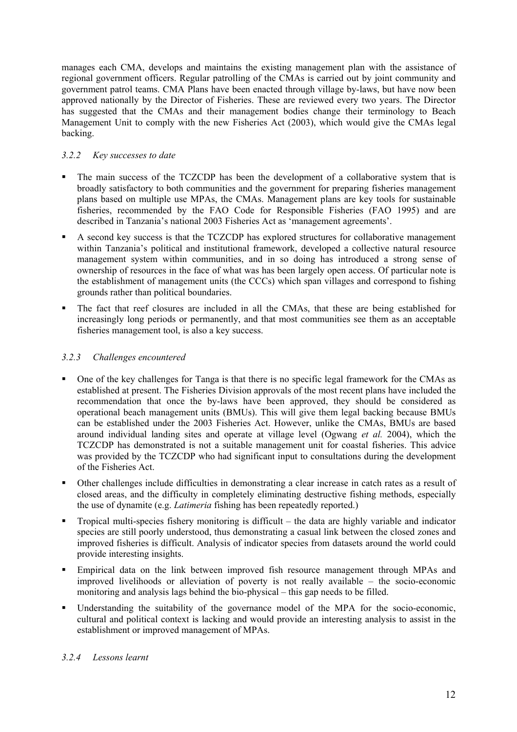manages each CMA, develops and maintains the existing management plan with the assistance of regional government officers. Regular patrolling of the CMAs is carried out by joint community and government patrol teams. CMA Plans have been enacted through village by-laws, but have now been approved nationally by the Director of Fisheries. These are reviewed every two years. The Director has suggested that the CMAs and their management bodies change their terminology to Beach Management Unit to comply with the new Fisheries Act (2003), which would give the CMAs legal backing.

### *3.2.2 Key successes to date*

- The main success of the TCZCDP has been the development of a collaborative system that is broadly satisfactory to both communities and the government for preparing fisheries management plans based on multiple use MPAs, the CMAs. Management plans are key tools for sustainable fisheries, recommended by the FAO Code for Responsible Fisheries (FAO 1995) and are described in Tanzania's national 2003 Fisheries Act as 'management agreements'.
- A second key success is that the TCZCDP has explored structures for collaborative management within Tanzania's political and institutional framework, developed a collective natural resource management system within communities, and in so doing has introduced a strong sense of ownership of resources in the face of what was has been largely open access. Of particular note is the establishment of management units (the CCCs) which span villages and correspond to fishing grounds rather than political boundaries.
- The fact that reef closures are included in all the CMAs, that these are being established for increasingly long periods or permanently, and that most communities see them as an acceptable fisheries management tool, is also a key success.

# *3.2.3 Challenges encountered*

- One of the key challenges for Tanga is that there is no specific legal framework for the CMAs as established at present. The Fisheries Division approvals of the most recent plans have included the recommendation that once the by-laws have been approved, they should be considered as operational beach management units (BMUs). This will give them legal backing because BMUs can be established under the 2003 Fisheries Act. However, unlike the CMAs, BMUs are based around individual landing sites and operate at village level (Ogwang *et al.* 2004), which the TCZCDP has demonstrated is not a suitable management unit for coastal fisheries. This advice was provided by the TCZCDP who had significant input to consultations during the development of the Fisheries Act.
- Other challenges include difficulties in demonstrating a clear increase in catch rates as a result of closed areas, and the difficulty in completely eliminating destructive fishing methods, especially the use of dynamite (e.g. *Latimeria* fishing has been repeatedly reported.)
- Tropical multi-species fishery monitoring is difficult the data are highly variable and indicator species are still poorly understood, thus demonstrating a casual link between the closed zones and improved fisheries is difficult. Analysis of indicator species from datasets around the world could provide interesting insights.
- Empirical data on the link between improved fish resource management through MPAs and improved livelihoods or alleviation of poverty is not really available – the socio-economic monitoring and analysis lags behind the bio-physical – this gap needs to be filled.
- Understanding the suitability of the governance model of the MPA for the socio-economic, cultural and political context is lacking and would provide an interesting analysis to assist in the establishment or improved management of MPAs.

### *3.2.4 Lessons learnt*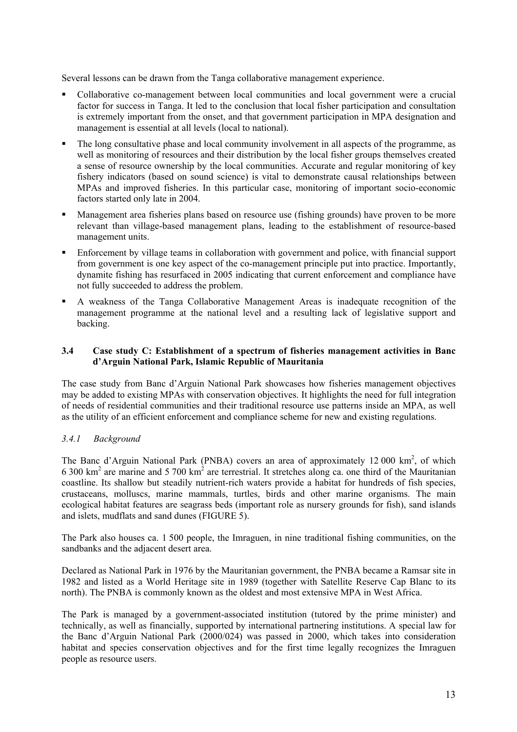Several lessons can be drawn from the Tanga collaborative management experience.

- Collaborative co-management between local communities and local government were a crucial factor for success in Tanga. It led to the conclusion that local fisher participation and consultation is extremely important from the onset, and that government participation in MPA designation and management is essential at all levels (local to national).
- The long consultative phase and local community involvement in all aspects of the programme, as well as monitoring of resources and their distribution by the local fisher groups themselves created a sense of resource ownership by the local communities. Accurate and regular monitoring of key fishery indicators (based on sound science) is vital to demonstrate causal relationships between MPAs and improved fisheries. In this particular case, monitoring of important socio-economic factors started only late in 2004.
- Management area fisheries plans based on resource use (fishing grounds) have proven to be more relevant than village-based management plans, leading to the establishment of resource-based management units.
- Enforcement by village teams in collaboration with government and police, with financial support from government is one key aspect of the co-management principle put into practice. Importantly, dynamite fishing has resurfaced in 2005 indicating that current enforcement and compliance have not fully succeeded to address the problem.
- A weakness of the Tanga Collaborative Management Areas is inadequate recognition of the management programme at the national level and a resulting lack of legislative support and backing.

#### **3.4 Case study C: Establishment of a spectrum of fisheries management activities in Banc d'Arguin National Park, Islamic Republic of Mauritania**

The case study from Banc d'Arguin National Park showcases how fisheries management objectives may be added to existing MPAs with conservation objectives. It highlights the need for full integration of needs of residential communities and their traditional resource use patterns inside an MPA, as well as the utility of an efficient enforcement and compliance scheme for new and existing regulations.

### *3.4.1 Background*

The Banc d'Arguin National Park (PNBA) covers an area of approximately 12 000 km<sup>2</sup>, of which 6 300  $\text{km}^2$  are marine and 5 700  $\text{km}^2$  are terrestrial. It stretches along ca. one third of the Mauritanian coastline. Its shallow but steadily nutrient-rich waters provide a habitat for hundreds of fish species, crustaceans, molluscs, marine mammals, turtles, birds and other marine organisms. The main ecological habitat features are seagrass beds (important role as nursery grounds for fish), sand islands and islets, mudflats and sand dunes (FIGURE 5).

The Park also houses ca. 1 500 people, the Imraguen, in nine traditional fishing communities, on the sandbanks and the adjacent desert area.

Declared as National Park in 1976 by the Mauritanian government, the PNBA became a Ramsar site in 1982 and listed as a World Heritage site in 1989 (together with Satellite Reserve Cap Blanc to its north). The PNBA is commonly known as the oldest and most extensive MPA in West Africa.

The Park is managed by a government-associated institution (tutored by the prime minister) and technically, as well as financially, supported by international partnering institutions. A special law for the Banc d'Arguin National Park (2000/024) was passed in 2000, which takes into consideration habitat and species conservation objectives and for the first time legally recognizes the Imraguen people as resource users.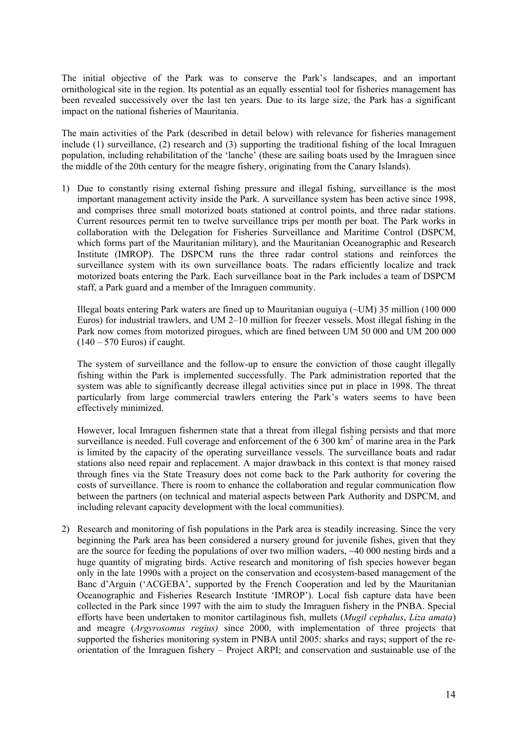The initial objective of the Park was to conserve the Park's landscapes, and an important ornithological site in the region. Its potential as an equally essential tool for fisheries management has been revealed successively over the last ten years. Due to its large size, the Park has a significant impact on the national fisheries of Mauritania.

The main activities of the Park (described in detail below) with relevance for fisheries management include (1) surveillance, (2) research and (3) supporting the traditional fishing of the local Imraguen population, including rehabilitation of the 'lanche' (these are sailing boats used by the Imraguen since the middle of the 20th century for the meagre fishery, originating from the Canary Islands).

1) Due to constantly rising external fishing pressure and illegal fishing, surveillance is the most important management activity inside the Park. A surveillance system has been active since 1998, and comprises three small motorized boats stationed at control points, and three radar stations. Current resources permit ten to twelve surveillance trips per month per boat. The Park works in collaboration with the Delegation for Fisheries Surveillance and Maritime Control (DSPCM, which forms part of the Mauritanian military), and the Mauritanian Oceanographic and Research Institute (IMROP). The DSPCM runs the three radar control stations and reinforces the surveillance system with its own surveillance boats. The radars efficiently localize and track motorized boats entering the Park. Each surveillance boat in the Park includes a team of DSPCM staff, a Park guard and a member of the Imraguen community.

Illegal boats entering Park waters are fined up to Mauritanian ouguiya (~UM) 35 million (100 000 Euros) for industrial trawlers, and UM 2–10 million for freezer vessels. Most illegal fishing in the Park now comes from motorized pirogues, which are fined between UM 50 000 and UM 200 000  $(140 - 570$  Euros) if caught.

The system of surveillance and the follow-up to ensure the conviction of those caught illegally fishing within the Park is implemented successfully. The Park administration reported that the system was able to significantly decrease illegal activities since put in place in 1998. The threat particularly from large commercial trawlers entering the Park's waters seems to have been effectively minimized.

However, local Imraguen fishermen state that a threat from illegal fishing persists and that more surveillance is needed. Full coverage and enforcement of the  $6\,300\ \text{km}^2$  of marine area in the Park is limited by the capacity of the operating surveillance vessels. The surveillance boats and radar stations also need repair and replacement. A major drawback in this context is that money raised through fines via the State Treasury does not come back to the Park authority for covering the costs of surveillance. There is room to enhance the collaboration and regular communication flow between the partners (on technical and material aspects between Park Authority and DSPCM, and including relevant capacity development with the local communities).

2) Research and monitoring of fish populations in the Park area is steadily increasing. Since the very beginning the Park area has been considered a nursery ground for juvenile fishes, given that they are the source for feeding the populations of over two million waders, ~40 000 nesting birds and a huge quantity of migrating birds. Active research and monitoring of fish species however began only in the late 1990s with a project on the conservation and ecosystem-based management of the Banc d'Arguin ('ACGEBA', supported by the French Cooperation and led by the Mauritanian Oceanographic and Fisheries Research Institute 'IMROP'). Local fish capture data have been collected in the Park since 1997 with the aim to study the Imraguen fishery in the PNBA. Special efforts have been undertaken to monitor cartilaginous fish, mullets (*Mugil cephalus*, *Liza amata*) and meagre (*Argyrosomus regius)* since 2000, with implementation of three projects that supported the fisheries monitoring system in PNBA until 2005: sharks and rays; support of the reorientation of the Imraguen fishery – Project ARPI; and conservation and sustainable use of the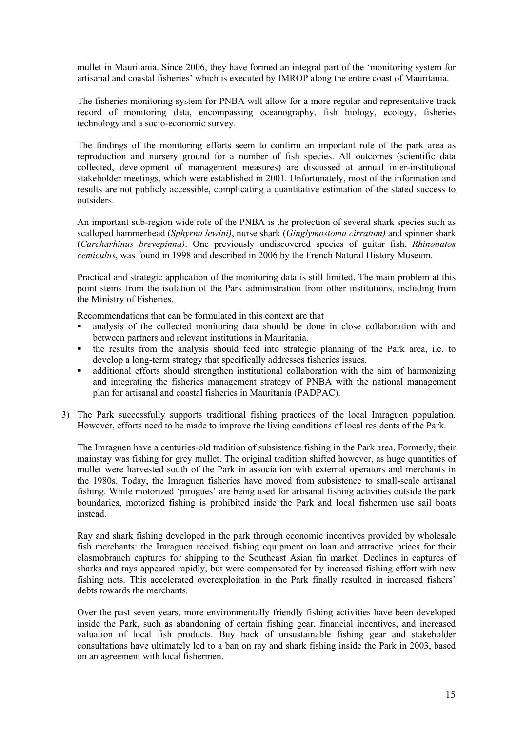mullet in Mauritania. Since 2006, they have formed an integral part of the 'monitoring system for artisanal and coastal fisheries' which is executed by IMROP along the entire coast of Mauritania.

The fisheries monitoring system for PNBA will allow for a more regular and representative track record of monitoring data, encompassing oceanography, fish biology, ecology, fisheries technology and a socio-economic survey*.* 

The findings of the monitoring efforts seem to confirm an important role of the park area as reproduction and nursery ground for a number of fish species. All outcomes (scientific data collected, development of management measures) are discussed at annual inter-institutional stakeholder meetings, which were established in 2001. Unfortunately, most of the information and results are not publicly accessible, complicating a quantitative estimation of the stated success to outsiders.

An important sub-region wide role of the PNBA is the protection of several shark species such as scalloped hammerhead (*Sphyrna lewini)*, nurse shark (*Ginglymostoma cirratum)* and spinner shark (*Carcharhinus brevepinna)*. One previously undiscovered species of guitar fish, *Rhinobatos cemiculus*, was found in 1998 and described in 2006 by the French Natural History Museum.

Practical and strategic application of the monitoring data is still limited. The main problem at this point stems from the isolation of the Park administration from other institutions, including from the Ministry of Fisheries.

Recommendations that can be formulated in this context are that

- analysis of the collected monitoring data should be done in close collaboration with and between partners and relevant institutions in Mauritania.
- the results from the analysis should feed into strategic planning of the Park area, i.e. to develop a long-term strategy that specifically addresses fisheries issues.
- additional efforts should strengthen institutional collaboration with the aim of harmonizing and integrating the fisheries management strategy of PNBA with the national management plan for artisanal and coastal fisheries in Mauritania (PADPAC).
- 3) The Park successfully supports traditional fishing practices of the local Imraguen population. However, efforts need to be made to improve the living conditions of local residents of the Park.

The Imraguen have a centuries-old tradition of subsistence fishing in the Park area. Formerly, their mainstay was fishing for grey mullet. The original tradition shifted however, as huge quantities of mullet were harvested south of the Park in association with external operators and merchants in the 1980s. Today, the Imraguen fisheries have moved from subsistence to small-scale artisanal fishing. While motorized 'pirogues' are being used for artisanal fishing activities outside the park boundaries, motorized fishing is prohibited inside the Park and local fishermen use sail boats instead.

Ray and shark fishing developed in the park through economic incentives provided by wholesale fish merchants: the Imraguen received fishing equipment on loan and attractive prices for their elasmobranch captures for shipping to the Southeast Asian fin market. Declines in captures of sharks and rays appeared rapidly, but were compensated for by increased fishing effort with new fishing nets. This accelerated overexploitation in the Park finally resulted in increased fishers' debts towards the merchants.

Over the past seven years, more environmentally friendly fishing activities have been developed inside the Park, such as abandoning of certain fishing gear, financial incentives, and increased valuation of local fish products. Buy back of unsustainable fishing gear and stakeholder consultations have ultimately led to a ban on ray and shark fishing inside the Park in 2003, based on an agreement with local fishermen.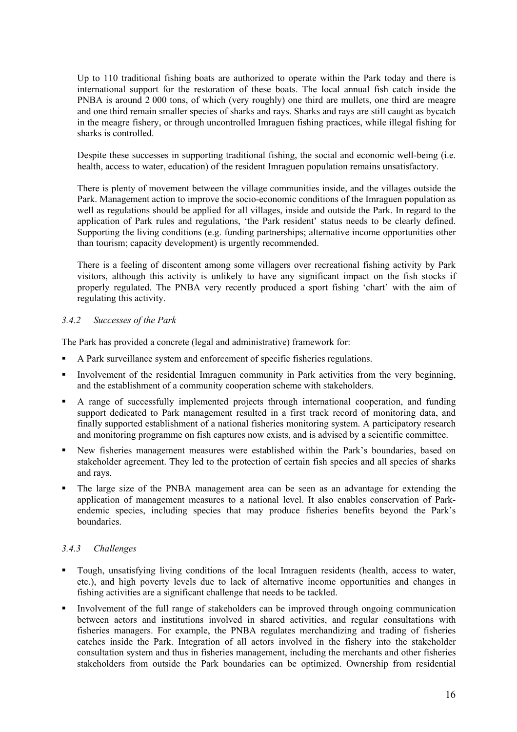Up to 110 traditional fishing boats are authorized to operate within the Park today and there is international support for the restoration of these boats. The local annual fish catch inside the PNBA is around 2 000 tons, of which (very roughly) one third are mullets, one third are meagre and one third remain smaller species of sharks and rays. Sharks and rays are still caught as bycatch in the meagre fishery, or through uncontrolled Imraguen fishing practices, while illegal fishing for sharks is controlled.

Despite these successes in supporting traditional fishing, the social and economic well-being (i.e. health, access to water, education) of the resident Imraguen population remains unsatisfactory.

There is plenty of movement between the village communities inside, and the villages outside the Park. Management action to improve the socio-economic conditions of the Imraguen population as well as regulations should be applied for all villages, inside and outside the Park. In regard to the application of Park rules and regulations, 'the Park resident' status needs to be clearly defined. Supporting the living conditions (e.g. funding partnerships; alternative income opportunities other than tourism; capacity development) is urgently recommended.

There is a feeling of discontent among some villagers over recreational fishing activity by Park visitors, although this activity is unlikely to have any significant impact on the fish stocks if properly regulated. The PNBA very recently produced a sport fishing 'chart' with the aim of regulating this activity.

### *3.4.2 Successes of the Park*

The Park has provided a concrete (legal and administrative) framework for:

- A Park surveillance system and enforcement of specific fisheries regulations.
- Involvement of the residential Imraguen community in Park activities from the very beginning, and the establishment of a community cooperation scheme with stakeholders.
- A range of successfully implemented projects through international cooperation, and funding support dedicated to Park management resulted in a first track record of monitoring data, and finally supported establishment of a national fisheries monitoring system. A participatory research and monitoring programme on fish captures now exists, and is advised by a scientific committee.
- New fisheries management measures were established within the Park's boundaries, based on stakeholder agreement. They led to the protection of certain fish species and all species of sharks and rays.
- The large size of the PNBA management area can be seen as an advantage for extending the application of management measures to a national level. It also enables conservation of Parkendemic species, including species that may produce fisheries benefits beyond the Park's boundaries.

### *3.4.3 Challenges*

- Tough, unsatisfying living conditions of the local Imraguen residents (health, access to water, etc.), and high poverty levels due to lack of alternative income opportunities and changes in fishing activities are a significant challenge that needs to be tackled.
- Involvement of the full range of stakeholders can be improved through ongoing communication between actors and institutions involved in shared activities, and regular consultations with fisheries managers. For example, the PNBA regulates merchandizing and trading of fisheries catches inside the Park. Integration of all actors involved in the fishery into the stakeholder consultation system and thus in fisheries management, including the merchants and other fisheries stakeholders from outside the Park boundaries can be optimized. Ownership from residential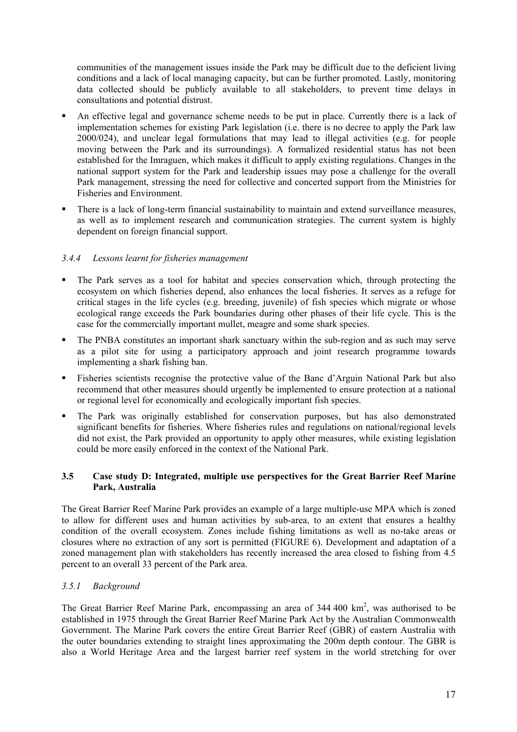communities of the management issues inside the Park may be difficult due to the deficient living conditions and a lack of local managing capacity, but can be further promoted. Lastly, monitoring data collected should be publicly available to all stakeholders, to prevent time delays in consultations and potential distrust.

- An effective legal and governance scheme needs to be put in place. Currently there is a lack of implementation schemes for existing Park legislation (i.e. there is no decree to apply the Park law 2000/024), and unclear legal formulations that may lead to illegal activities (e.g. for people moving between the Park and its surroundings). A formalized residential status has not been established for the Imraguen, which makes it difficult to apply existing regulations. Changes in the national support system for the Park and leadership issues may pose a challenge for the overall Park management, stressing the need for collective and concerted support from the Ministries for Fisheries and Environment.
- There is a lack of long-term financial sustainability to maintain and extend surveillance measures, as well as to implement research and communication strategies. The current system is highly dependent on foreign financial support.

### *3.4.4 Lessons learnt for fisheries management*

- The Park serves as a tool for habitat and species conservation which, through protecting the ecosystem on which fisheries depend, also enhances the local fisheries. It serves as a refuge for critical stages in the life cycles (e.g. breeding, juvenile) of fish species which migrate or whose ecological range exceeds the Park boundaries during other phases of their life cycle. This is the case for the commercially important mullet, meagre and some shark species.
- The PNBA constitutes an important shark sanctuary within the sub-region and as such may serve as a pilot site for using a participatory approach and joint research programme towards implementing a shark fishing ban.
- Fisheries scientists recognise the protective value of the Banc d'Arguin National Park but also recommend that other measures should urgently be implemented to ensure protection at a national or regional level for economically and ecologically important fish species.
- The Park was originally established for conservation purposes, but has also demonstrated significant benefits for fisheries. Where fisheries rules and regulations on national/regional levels did not exist, the Park provided an opportunity to apply other measures, while existing legislation could be more easily enforced in the context of the National Park.

### **3.5 Case study D: Integrated, multiple use perspectives for the Great Barrier Reef Marine Park, Australia**

The Great Barrier Reef Marine Park provides an example of a large multiple-use MPA which is zoned to allow for different uses and human activities by sub-area, to an extent that ensures a healthy condition of the overall ecosystem. Zones include fishing limitations as well as no-take areas or closures where no extraction of any sort is permitted (FIGURE 6). Development and adaptation of a zoned management plan with stakeholders has recently increased the area closed to fishing from 4.5 percent to an overall 33 percent of the Park area.

### *3.5.1 Background*

The Great Barrier Reef Marine Park, encompassing an area of  $344\,400\,\mathrm{km}^2$ , was authorised to be established in 1975 through the Great Barrier Reef Marine Park Act by the Australian Commonwealth Government. The Marine Park covers the entire Great Barrier Reef (GBR) of eastern Australia with the outer boundaries extending to straight lines approximating the 200m depth contour. The GBR is also a World Heritage Area and the largest barrier reef system in the world stretching for over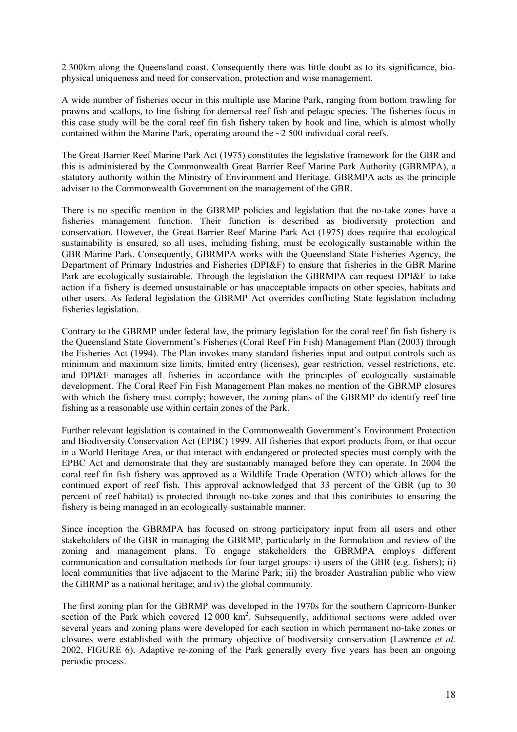2 300km along the Queensland coast. Consequently there was little doubt as to its significance, biophysical uniqueness and need for conservation, protection and wise management.

A wide number of fisheries occur in this multiple use Marine Park, ranging from bottom trawling for prawns and scallops, to line fishing for demersal reef fish and pelagic species. The fisheries focus in this case study will be the coral reef fin fish fishery taken by hook and line, which is almost wholly contained within the Marine Park, operating around the  $\sim$  2 500 individual coral reefs.

The Great Barrier Reef Marine Park Act (1975) constitutes the legislative framework for the GBR and this is administered by the Commonwealth Great Barrier Reef Marine Park Authority (GBRMPA), a statutory authority within the Ministry of Environment and Heritage. GBRMPA acts as the principle adviser to the Commonwealth Government on the management of the GBR.

There is no specific mention in the GBRMP policies and legislation that the no-take zones have a fisheries management function. Their function is described as biodiversity protection and conservation. However, the Great Barrier Reef Marine Park Act (1975) does require that ecological sustainability is ensured, so all uses, including fishing, must be ecologically sustainable within the GBR Marine Park. Consequently, GBRMPA works with the Queensland State Fisheries Agency, the Department of Primary Industries and Fisheries (DPI&F) to ensure that fisheries in the GBR Marine Park are ecologically sustainable. Through the legislation the GBRMPA can request DPI&F to take action if a fishery is deemed unsustainable or has unacceptable impacts on other species, habitats and other users. As federal legislation the GBRMP Act overrides conflicting State legislation including fisheries legislation.

Contrary to the GBRMP under federal law, the primary legislation for the coral reef fin fish fishery is the Queensland State Government's Fisheries (Coral Reef Fin Fish) Management Plan (2003) through the Fisheries Act (1994). The Plan invokes many standard fisheries input and output controls such as minimum and maximum size limits, limited entry (licenses), gear restriction, vessel restrictions, etc. and DPI&F manages all fisheries in accordance with the principles of ecologically sustainable development. The Coral Reef Fin Fish Management Plan makes no mention of the GBRMP closures with which the fishery must comply; however, the zoning plans of the GBRMP do identify reef line fishing as a reasonable use within certain zones of the Park.

Further relevant legislation is contained in the Commonwealth Government's Environment Protection and Biodiversity Conservation Act (EPBC) 1999. All fisheries that export products from, or that occur in a World Heritage Area, or that interact with endangered or protected species must comply with the EPBC Act and demonstrate that they are sustainably managed before they can operate. In 2004 the coral reef fin fish fishery was approved as a Wildlife Trade Operation (WTO) which allows for the continued export of reef fish. This approval acknowledged that 33 percent of the GBR (up to 30 percent of reef habitat) is protected through no-take zones and that this contributes to ensuring the fishery is being managed in an ecologically sustainable manner.

Since inception the GBRMPA has focused on strong participatory input from all users and other stakeholders of the GBR in managing the GBRMP, particularly in the formulation and review of the zoning and management plans. To engage stakeholders the GBRMPA employs different communication and consultation methods for four target groups: i) users of the GBR (e.g. fishers); ii) local communities that live adjacent to the Marine Park; iii) the broader Australian public who view the GBRMP as a national heritage; and iv) the global community.

The first zoning plan for the GBRMP was developed in the 1970s for the southern Capricorn-Bunker section of the Park which covered  $12\,000\ \text{km}^2$ . Subsequently, additional sections were added over several years and zoning plans were developed for each section in which permanent no-take zones or closures were established with the primary objective of biodiversity conservation (Lawrence *et al.* 2002, FIGURE 6). Adaptive re-zoning of the Park generally every five years has been an ongoing periodic process.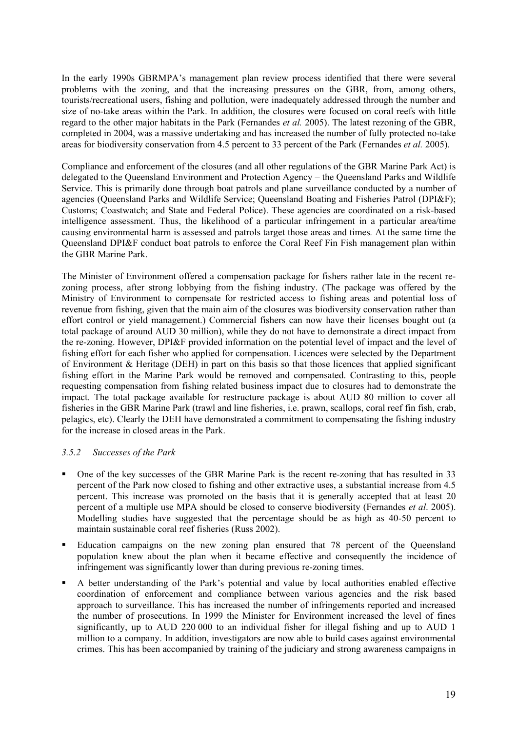In the early 1990s GBRMPA's management plan review process identified that there were several problems with the zoning, and that the increasing pressures on the GBR, from, among others, tourists/recreational users, fishing and pollution, were inadequately addressed through the number and size of no-take areas within the Park. In addition, the closures were focused on coral reefs with little regard to the other major habitats in the Park (Fernandes *et al.* 2005). The latest rezoning of the GBR, completed in 2004, was a massive undertaking and has increased the number of fully protected no-take areas for biodiversity conservation from 4.5 percent to 33 percent of the Park (Fernandes *et al.* 2005).

Compliance and enforcement of the closures (and all other regulations of the GBR Marine Park Act) is delegated to the Queensland Environment and Protection Agency – the Queensland Parks and Wildlife Service. This is primarily done through boat patrols and plane surveillance conducted by a number of agencies (Queensland Parks and Wildlife Service; Queensland Boating and Fisheries Patrol (DPI&F); Customs; Coastwatch; and State and Federal Police). These agencies are coordinated on a risk-based intelligence assessment. Thus, the likelihood of a particular infringement in a particular area/time causing environmental harm is assessed and patrols target those areas and times*.* At the same time the Queensland DPI&F conduct boat patrols to enforce the Coral Reef Fin Fish management plan within the GBR Marine Park.

The Minister of Environment offered a compensation package for fishers rather late in the recent rezoning process, after strong lobbying from the fishing industry. (The package was offered by the Ministry of Environment to compensate for restricted access to fishing areas and potential loss of revenue from fishing, given that the main aim of the closures was biodiversity conservation rather than effort control or yield management.) Commercial fishers can now have their licenses bought out (a total package of around AUD 30 million), while they do not have to demonstrate a direct impact from the re-zoning. However, DPI&F provided information on the potential level of impact and the level of fishing effort for each fisher who applied for compensation. Licences were selected by the Department of Environment  $\&$  Heritage (DEH) in part on this basis so that those licences that applied significant fishing effort in the Marine Park would be removed and compensated. Contrasting to this, people requesting compensation from fishing related business impact due to closures had to demonstrate the impact. The total package available for restructure package is about AUD 80 million to cover all fisheries in the GBR Marine Park (trawl and line fisheries, i.e. prawn, scallops, coral reef fin fish, crab, pelagics, etc). Clearly the DEH have demonstrated a commitment to compensating the fishing industry for the increase in closed areas in the Park.

#### *3.5.2 Successes of the Park*

- One of the key successes of the GBR Marine Park is the recent re-zoning that has resulted in 33 percent of the Park now closed to fishing and other extractive uses, a substantial increase from 4.5 percent. This increase was promoted on the basis that it is generally accepted that at least 20 percent of a multiple use MPA should be closed to conserve biodiversity (Fernandes *et al*. 2005). Modelling studies have suggested that the percentage should be as high as 40-50 percent to maintain sustainable coral reef fisheries (Russ 2002).
- Education campaigns on the new zoning plan ensured that 78 percent of the Queensland population knew about the plan when it became effective and consequently the incidence of infringement was significantly lower than during previous re-zoning times.
- A better understanding of the Park's potential and value by local authorities enabled effective coordination of enforcement and compliance between various agencies and the risk based approach to surveillance. This has increased the number of infringements reported and increased the number of prosecutions. In 1999 the Minister for Environment increased the level of fines significantly, up to AUD 220 000 to an individual fisher for illegal fishing and up to AUD 1 million to a company. In addition, investigators are now able to build cases against environmental crimes. This has been accompanied by training of the judiciary and strong awareness campaigns in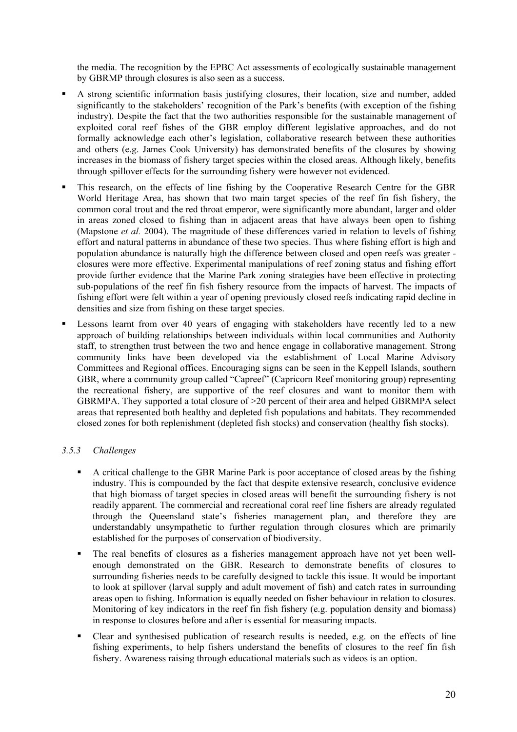the media. The recognition by the EPBC Act assessments of ecologically sustainable management by GBRMP through closures is also seen as a success.

- A strong scientific information basis justifying closures, their location, size and number, added significantly to the stakeholders' recognition of the Park's benefits (with exception of the fishing industry). Despite the fact that the two authorities responsible for the sustainable management of exploited coral reef fishes of the GBR employ different legislative approaches, and do not formally acknowledge each other's legislation, collaborative research between these authorities and others (e.g. James Cook University) has demonstrated benefits of the closures by showing increases in the biomass of fishery target species within the closed areas. Although likely, benefits through spillover effects for the surrounding fishery were however not evidenced.
- This research, on the effects of line fishing by the Cooperative Research Centre for the GBR World Heritage Area, has shown that two main target species of the reef fin fish fishery, the common coral trout and the red throat emperor, were significantly more abundant, larger and older in areas zoned closed to fishing than in adjacent areas that have always been open to fishing (Mapstone *et al.* 2004). The magnitude of these differences varied in relation to levels of fishing effort and natural patterns in abundance of these two species. Thus where fishing effort is high and population abundance is naturally high the difference between closed and open reefs was greater closures were more effective. Experimental manipulations of reef zoning status and fishing effort provide further evidence that the Marine Park zoning strategies have been effective in protecting sub-populations of the reef fin fish fishery resource from the impacts of harvest. The impacts of fishing effort were felt within a year of opening previously closed reefs indicating rapid decline in densities and size from fishing on these target species.
- Lessons learnt from over 40 years of engaging with stakeholders have recently led to a new approach of building relationships between individuals within local communities and Authority staff, to strengthen trust between the two and hence engage in collaborative management. Strong community links have been developed via the establishment of Local Marine Advisory Committees and Regional offices. Encouraging signs can be seen in the Keppell Islands, southern GBR, where a community group called "Capreef" (Capricorn Reef monitoring group) representing the recreational fishery, are supportive of the reef closures and want to monitor them with GBRMPA. They supported a total closure of >20 percent of their area and helped GBRMPA select areas that represented both healthy and depleted fish populations and habitats. They recommended closed zones for both replenishment (depleted fish stocks) and conservation (healthy fish stocks).

### *3.5.3 Challenges*

- A critical challenge to the GBR Marine Park is poor acceptance of closed areas by the fishing industry. This is compounded by the fact that despite extensive research, conclusive evidence that high biomass of target species in closed areas will benefit the surrounding fishery is not readily apparent. The commercial and recreational coral reef line fishers are already regulated through the Queensland state's fisheries management plan, and therefore they are understandably unsympathetic to further regulation through closures which are primarily established for the purposes of conservation of biodiversity.
- The real benefits of closures as a fisheries management approach have not yet been wellenough demonstrated on the GBR. Research to demonstrate benefits of closures to surrounding fisheries needs to be carefully designed to tackle this issue. It would be important to look at spillover (larval supply and adult movement of fish) and catch rates in surrounding areas open to fishing. Information is equally needed on fisher behaviour in relation to closures. Monitoring of key indicators in the reef fin fish fishery (e.g. population density and biomass) in response to closures before and after is essential for measuring impacts.
- Clear and synthesised publication of research results is needed, e.g. on the effects of line fishing experiments, to help fishers understand the benefits of closures to the reef fin fish fishery. Awareness raising through educational materials such as videos is an option.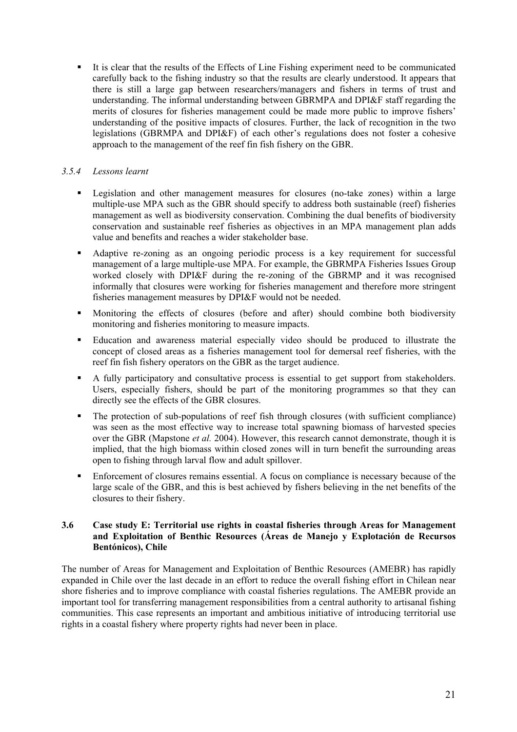It is clear that the results of the Effects of Line Fishing experiment need to be communicated carefully back to the fishing industry so that the results are clearly understood. It appears that there is still a large gap between researchers/managers and fishers in terms of trust and understanding. The informal understanding between GBRMPA and DPI&F staff regarding the merits of closures for fisheries management could be made more public to improve fishers' understanding of the positive impacts of closures. Further, the lack of recognition in the two legislations (GBRMPA and DPI&F) of each other's regulations does not foster a cohesive approach to the management of the reef fin fish fishery on the GBR.

## *3.5.4 Lessons learnt*

- Legislation and other management measures for closures (no-take zones) within a large multiple-use MPA such as the GBR should specify to address both sustainable (reef) fisheries management as well as biodiversity conservation. Combining the dual benefits of biodiversity conservation and sustainable reef fisheries as objectives in an MPA management plan adds value and benefits and reaches a wider stakeholder base.
- Adaptive re-zoning as an ongoing periodic process is a key requirement for successful management of a large multiple-use MPA. For example, the GBRMPA Fisheries Issues Group worked closely with DPI&F during the re-zoning of the GBRMP and it was recognised informally that closures were working for fisheries management and therefore more stringent fisheries management measures by DPI&F would not be needed.
- Monitoring the effects of closures (before and after) should combine both biodiversity monitoring and fisheries monitoring to measure impacts.
- Education and awareness material especially video should be produced to illustrate the concept of closed areas as a fisheries management tool for demersal reef fisheries, with the reef fin fish fishery operators on the GBR as the target audience.
- A fully participatory and consultative process is essential to get support from stakeholders. Users, especially fishers, should be part of the monitoring programmes so that they can directly see the effects of the GBR closures.
- The protection of sub-populations of reef fish through closures (with sufficient compliance) was seen as the most effective way to increase total spawning biomass of harvested species over the GBR (Mapstone *et al.* 2004). However, this research cannot demonstrate, though it is implied, that the high biomass within closed zones will in turn benefit the surrounding areas open to fishing through larval flow and adult spillover.
- Enforcement of closures remains essential. A focus on compliance is necessary because of the large scale of the GBR, and this is best achieved by fishers believing in the net benefits of the closures to their fishery.

#### **3.6 Case study E: Territorial use rights in coastal fisheries through Areas for Management and Exploitation of Benthic Resources (Áreas de Manejo y Explotación de Recursos Bentónicos), Chile**

The number of Areas for Management and Exploitation of Benthic Resources (AMEBR) has rapidly expanded in Chile over the last decade in an effort to reduce the overall fishing effort in Chilean near shore fisheries and to improve compliance with coastal fisheries regulations. The AMEBR provide an important tool for transferring management responsibilities from a central authority to artisanal fishing communities. This case represents an important and ambitious initiative of introducing territorial use rights in a coastal fishery where property rights had never been in place.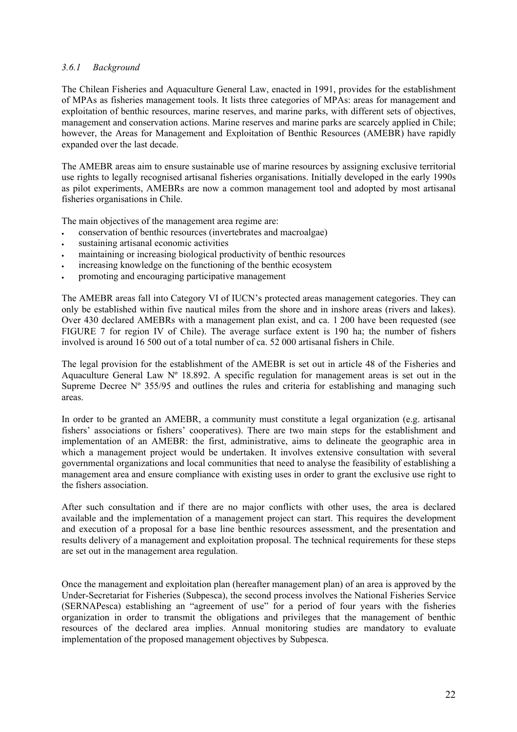### *3.6.1 Background*

The Chilean Fisheries and Aquaculture General Law, enacted in 1991, provides for the establishment of MPAs as fisheries management tools. It lists three categories of MPAs: areas for management and exploitation of benthic resources, marine reserves, and marine parks, with different sets of objectives, management and conservation actions. Marine reserves and marine parks are scarcely applied in Chile; however, the Areas for Management and Exploitation of Benthic Resources (AMEBR) have rapidly expanded over the last decade.

The AMEBR areas aim to ensure sustainable use of marine resources by assigning exclusive territorial use rights to legally recognised artisanal fisheries organisations. Initially developed in the early 1990s as pilot experiments, AMEBRs are now a common management tool and adopted by most artisanal fisheries organisations in Chile.

The main objectives of the management area regime are:

- conservation of benthic resources (invertebrates and macroalgae)
- sustaining artisanal economic activities
- maintaining or increasing biological productivity of benthic resources
- increasing knowledge on the functioning of the benthic ecosystem
- promoting and encouraging participative management

The AMEBR areas fall into Category VI of IUCN's protected areas management categories. They can only be established within five nautical miles from the shore and in inshore areas (rivers and lakes). Over 430 declared AMEBRs with a management plan exist, and ca. 1 200 have been requested (see FIGURE 7 for region IV of Chile). The average surface extent is 190 ha; the number of fishers involved is around 16 500 out of a total number of ca. 52 000 artisanal fishers in Chile.

The legal provision for the establishment of the AMEBR is set out in article 48 of the Fisheries and Aquaculture General Law Nº 18.892. A specific regulation for management areas is set out in the Supreme Decree  $N^{\circ}$  355/95 and outlines the rules and criteria for establishing and managing such areas.

In order to be granted an AMEBR, a community must constitute a legal organization (e.g. artisanal fishers' associations or fishers' cooperatives). There are two main steps for the establishment and implementation of an AMEBR: the first, administrative, aims to delineate the geographic area in which a management project would be undertaken. It involves extensive consultation with several governmental organizations and local communities that need to analyse the feasibility of establishing a management area and ensure compliance with existing uses in order to grant the exclusive use right to the fishers association.

After such consultation and if there are no major conflicts with other uses, the area is declared available and the implementation of a management project can start. This requires the development and execution of a proposal for a base line benthic resources assessment, and the presentation and results delivery of a management and exploitation proposal. The technical requirements for these steps are set out in the management area regulation.

Once the management and exploitation plan (hereafter management plan) of an area is approved by the Under-Secretariat for Fisheries (Subpesca), the second process involves the National Fisheries Service (SERNAPesca) establishing an "agreement of use" for a period of four years with the fisheries organization in order to transmit the obligations and privileges that the management of benthic resources of the declared area implies. Annual monitoring studies are mandatory to evaluate implementation of the proposed management objectives by Subpesca.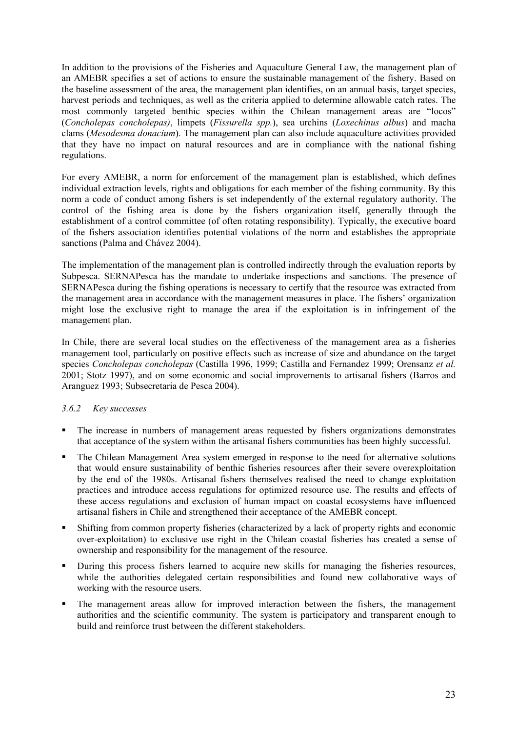In addition to the provisions of the Fisheries and Aquaculture General Law, the management plan of an AMEBR specifies a set of actions to ensure the sustainable management of the fishery. Based on the baseline assessment of the area, the management plan identifies, on an annual basis, target species, harvest periods and techniques, as well as the criteria applied to determine allowable catch rates. The most commonly targeted benthic species within the Chilean management areas are "locos" (*Concholepas concholepas)*, limpets (*Fissurella spp.*), sea urchins (*Loxechinus albus*) and macha clams (*Mesodesma donacium*). The management plan can also include aquaculture activities provided that they have no impact on natural resources and are in compliance with the national fishing regulations.

For every AMEBR, a norm for enforcement of the management plan is established, which defines individual extraction levels, rights and obligations for each member of the fishing community. By this norm a code of conduct among fishers is set independently of the external regulatory authority. The control of the fishing area is done by the fishers organization itself, generally through the establishment of a control committee (of often rotating responsibility). Typically, the executive board of the fishers association identifies potential violations of the norm and establishes the appropriate sanctions (Palma and Chávez 2004).

The implementation of the management plan is controlled indirectly through the evaluation reports by Subpesca. SERNAPesca has the mandate to undertake inspections and sanctions. The presence of SERNAPesca during the fishing operations is necessary to certify that the resource was extracted from the management area in accordance with the management measures in place. The fishers' organization might lose the exclusive right to manage the area if the exploitation is in infringement of the management plan.

In Chile, there are several local studies on the effectiveness of the management area as a fisheries management tool, particularly on positive effects such as increase of size and abundance on the target species *Concholepas concholepas* (Castilla 1996, 1999; Castilla and Fernandez 1999; Orensanz *et al.* 2001; Stotz 1997), and on some economic and social improvements to artisanal fishers (Barros and Aranguez 1993; Subsecretaria de Pesca 2004).

### *3.6.2 Key successes*

- The increase in numbers of management areas requested by fishers organizations demonstrates that acceptance of the system within the artisanal fishers communities has been highly successful.
- The Chilean Management Area system emerged in response to the need for alternative solutions that would ensure sustainability of benthic fisheries resources after their severe overexploitation by the end of the 1980s. Artisanal fishers themselves realised the need to change exploitation practices and introduce access regulations for optimized resource use. The results and effects of these access regulations and exclusion of human impact on coastal ecosystems have influenced artisanal fishers in Chile and strengthened their acceptance of the AMEBR concept.
- Shifting from common property fisheries (characterized by a lack of property rights and economic over-exploitation) to exclusive use right in the Chilean coastal fisheries has created a sense of ownership and responsibility for the management of the resource.
- During this process fishers learned to acquire new skills for managing the fisheries resources, while the authorities delegated certain responsibilities and found new collaborative ways of working with the resource users.
- The management areas allow for improved interaction between the fishers, the management authorities and the scientific community. The system is participatory and transparent enough to build and reinforce trust between the different stakeholders.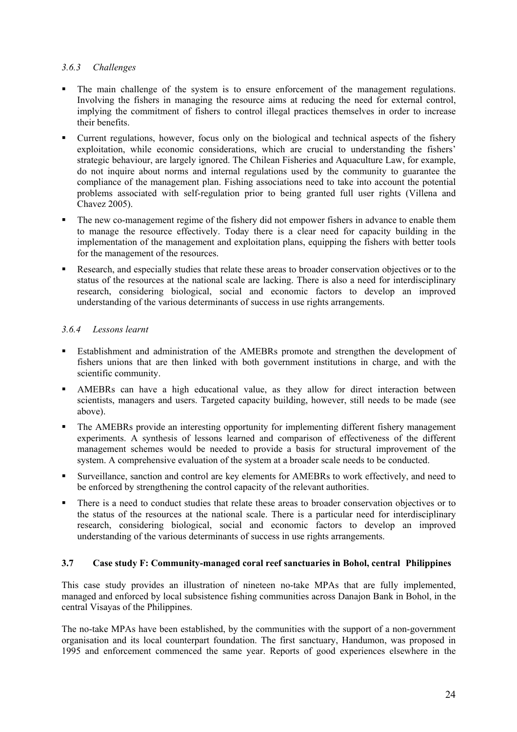### *3.6.3 Challenges*

- The main challenge of the system is to ensure enforcement of the management regulations. Involving the fishers in managing the resource aims at reducing the need for external control, implying the commitment of fishers to control illegal practices themselves in order to increase their benefits.
- Current regulations, however, focus only on the biological and technical aspects of the fishery exploitation, while economic considerations, which are crucial to understanding the fishers' strategic behaviour, are largely ignored. The Chilean Fisheries and Aquaculture Law, for example, do not inquire about norms and internal regulations used by the community to guarantee the compliance of the management plan. Fishing associations need to take into account the potential problems associated with self-regulation prior to being granted full user rights (Villena and Chavez 2005).
- The new co-management regime of the fishery did not empower fishers in advance to enable them to manage the resource effectively. Today there is a clear need for capacity building in the implementation of the management and exploitation plans, equipping the fishers with better tools for the management of the resources.
- Research, and especially studies that relate these areas to broader conservation objectives or to the status of the resources at the national scale are lacking. There is also a need for interdisciplinary research, considering biological, social and economic factors to develop an improved understanding of the various determinants of success in use rights arrangements.

# *3.6.4 Lessons learnt*

- Establishment and administration of the AMEBRs promote and strengthen the development of fishers unions that are then linked with both government institutions in charge, and with the scientific community.
- AMEBRs can have a high educational value, as they allow for direct interaction between scientists, managers and users. Targeted capacity building, however, still needs to be made (see above).
- The AMEBRs provide an interesting opportunity for implementing different fishery management experiments. A synthesis of lessons learned and comparison of effectiveness of the different management schemes would be needed to provide a basis for structural improvement of the system. A comprehensive evaluation of the system at a broader scale needs to be conducted.
- Surveillance, sanction and control are key elements for AMEBRs to work effectively, and need to be enforced by strengthening the control capacity of the relevant authorities.
- There is a need to conduct studies that relate these areas to broader conservation objectives or to the status of the resources at the national scale. There is a particular need for interdisciplinary research, considering biological, social and economic factors to develop an improved understanding of the various determinants of success in use rights arrangements.

### **3.7 Case study F: Community-managed coral reef sanctuaries in Bohol, central Philippines**

This case study provides an illustration of nineteen no-take MPAs that are fully implemented, managed and enforced by local subsistence fishing communities across Danajon Bank in Bohol, in the central Visayas of the Philippines.

The no-take MPAs have been established, by the communities with the support of a non-government organisation and its local counterpart foundation. The first sanctuary, Handumon, was proposed in 1995 and enforcement commenced the same year. Reports of good experiences elsewhere in the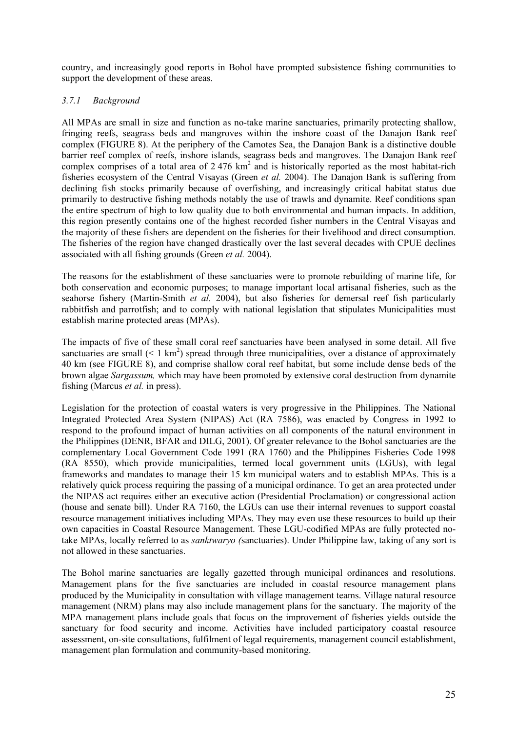country, and increasingly good reports in Bohol have prompted subsistence fishing communities to support the development of these areas.

### *3.7.1 Background*

All MPAs are small in size and function as no-take marine sanctuaries, primarily protecting shallow, fringing reefs, seagrass beds and mangroves within the inshore coast of the Danajon Bank reef complex (FIGURE 8). At the periphery of the Camotes Sea, the Danajon Bank is a distinctive double barrier reef complex of reefs, inshore islands, seagrass beds and mangroves. The Danajon Bank reef complex comprises of a total area of  $2.476 \text{ km}^2$  and is historically reported as the most habitat-rich fisheries ecosystem of the Central Visayas (Green *et al.* 2004). The Danajon Bank is suffering from declining fish stocks primarily because of overfishing, and increasingly critical habitat status due primarily to destructive fishing methods notably the use of trawls and dynamite. Reef conditions span the entire spectrum of high to low quality due to both environmental and human impacts. In addition, this region presently contains one of the highest recorded fisher numbers in the Central Visayas and the majority of these fishers are dependent on the fisheries for their livelihood and direct consumption. The fisheries of the region have changed drastically over the last several decades with CPUE declines associated with all fishing grounds (Green *et al.* 2004).

The reasons for the establishment of these sanctuaries were to promote rebuilding of marine life, for both conservation and economic purposes; to manage important local artisanal fisheries, such as the seahorse fishery (Martin-Smith *et al.* 2004), but also fisheries for demersal reef fish particularly rabbitfish and parrotfish; and to comply with national legislation that stipulates Municipalities must establish marine protected areas (MPAs).

The impacts of five of these small coral reef sanctuaries have been analysed in some detail. All five sanctuaries are small  $(< 1 \text{ km}^2)$  spread through three municipalities, over a distance of approximately 40 km (see FIGURE 8), and comprise shallow coral reef habitat, but some include dense beds of the brown algae *Sargassum,* which may have been promoted by extensive coral destruction from dynamite fishing (Marcus *et al.* in press).

Legislation for the protection of coastal waters is very progressive in the Philippines. The National Integrated Protected Area System (NIPAS) Act (RA 7586), was enacted by Congress in 1992 to respond to the profound impact of human activities on all components of the natural environment in the Philippines (DENR, BFAR and DILG, 2001). Of greater relevance to the Bohol sanctuaries are the complementary Local Government Code 1991 (RA 1760) and the Philippines Fisheries Code 1998 (RA 8550), which provide municipalities, termed local government units (LGUs), with legal frameworks and mandates to manage their 15 km municipal waters and to establish MPAs. This is a relatively quick process requiring the passing of a municipal ordinance. To get an area protected under the NIPAS act requires either an executive action (Presidential Proclamation) or congressional action (house and senate bill). Under RA 7160, the LGUs can use their internal revenues to support coastal resource management initiatives including MPAs. They may even use these resources to build up their own capacities in Coastal Resource Management. These LGU-codified MPAs are fully protected notake MPAs, locally referred to as *sanktwaryo (*sanctuaries). Under Philippine law, taking of any sort is not allowed in these sanctuaries.

The Bohol marine sanctuaries are legally gazetted through municipal ordinances and resolutions. Management plans for the five sanctuaries are included in coastal resource management plans produced by the Municipality in consultation with village management teams. Village natural resource management (NRM) plans may also include management plans for the sanctuary. The majority of the MPA management plans include goals that focus on the improvement of fisheries yields outside the sanctuary for food security and income. Activities have included participatory coastal resource assessment, on-site consultations, fulfilment of legal requirements, management council establishment, management plan formulation and community-based monitoring.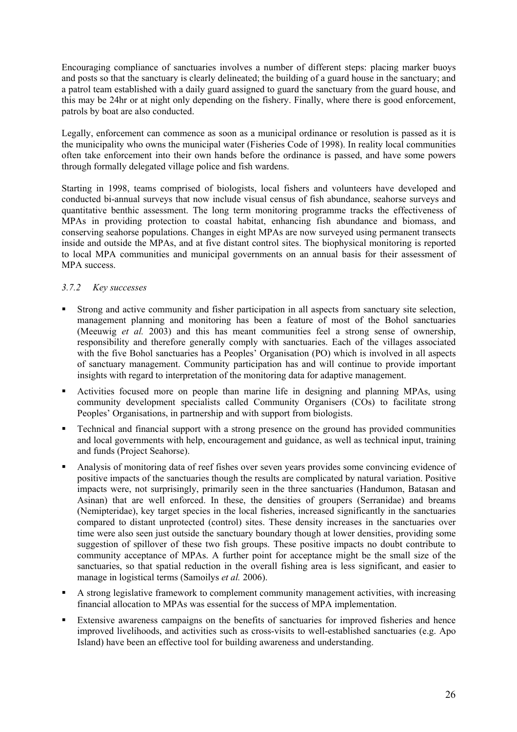Encouraging compliance of sanctuaries involves a number of different steps: placing marker buoys and posts so that the sanctuary is clearly delineated; the building of a guard house in the sanctuary; and a patrol team established with a daily guard assigned to guard the sanctuary from the guard house, and this may be 24hr or at night only depending on the fishery. Finally, where there is good enforcement, patrols by boat are also conducted.

Legally, enforcement can commence as soon as a municipal ordinance or resolution is passed as it is the municipality who owns the municipal water (Fisheries Code of 1998). In reality local communities often take enforcement into their own hands before the ordinance is passed, and have some powers through formally delegated village police and fish wardens.

Starting in 1998, teams comprised of biologists, local fishers and volunteers have developed and conducted bi-annual surveys that now include visual census of fish abundance, seahorse surveys and quantitative benthic assessment. The long term monitoring programme tracks the effectiveness of MPAs in providing protection to coastal habitat, enhancing fish abundance and biomass, and conserving seahorse populations. Changes in eight MPAs are now surveyed using permanent transects inside and outside the MPAs, and at five distant control sites. The biophysical monitoring is reported to local MPA communities and municipal governments on an annual basis for their assessment of MPA success.

# *3.7.2 Key successes*

- Strong and active community and fisher participation in all aspects from sanctuary site selection, management planning and monitoring has been a feature of most of the Bohol sanctuaries (Meeuwig *et al.* 2003) and this has meant communities feel a strong sense of ownership, responsibility and therefore generally comply with sanctuaries. Each of the villages associated with the five Bohol sanctuaries has a Peoples' Organisation (PO) which is involved in all aspects of sanctuary management. Community participation has and will continue to provide important insights with regard to interpretation of the monitoring data for adaptive management.
- Activities focused more on people than marine life in designing and planning MPAs, using community development specialists called Community Organisers (COs) to facilitate strong Peoples' Organisations, in partnership and with support from biologists.
- Technical and financial support with a strong presence on the ground has provided communities and local governments with help, encouragement and guidance, as well as technical input, training and funds (Project Seahorse).
- Analysis of monitoring data of reef fishes over seven years provides some convincing evidence of positive impacts of the sanctuaries though the results are complicated by natural variation. Positive impacts were, not surprisingly, primarily seen in the three sanctuaries (Handumon, Batasan and Asinan) that are well enforced. In these, the densities of groupers (Serranidae) and breams (Nemipteridae), key target species in the local fisheries, increased significantly in the sanctuaries compared to distant unprotected (control) sites. These density increases in the sanctuaries over time were also seen just outside the sanctuary boundary though at lower densities, providing some suggestion of spillover of these two fish groups. These positive impacts no doubt contribute to community acceptance of MPAs. A further point for acceptance might be the small size of the sanctuaries, so that spatial reduction in the overall fishing area is less significant, and easier to manage in logistical terms (Samoilys *et al.* 2006).
- A strong legislative framework to complement community management activities, with increasing financial allocation to MPAs was essential for the success of MPA implementation.
- Extensive awareness campaigns on the benefits of sanctuaries for improved fisheries and hence improved livelihoods, and activities such as cross-visits to well-established sanctuaries (e.g. Apo Island) have been an effective tool for building awareness and understanding.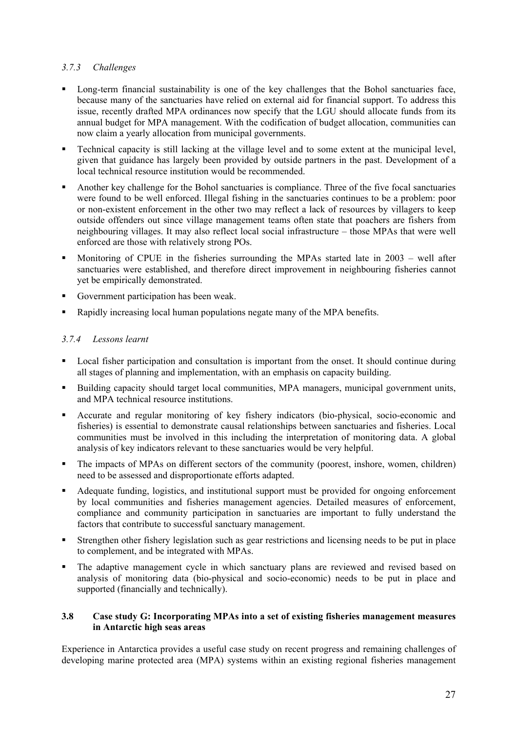# *3.7.3 Challenges*

- Long-term financial sustainability is one of the key challenges that the Bohol sanctuaries face, because many of the sanctuaries have relied on external aid for financial support. To address this issue, recently drafted MPA ordinances now specify that the LGU should allocate funds from its annual budget for MPA management. With the codification of budget allocation, communities can now claim a yearly allocation from municipal governments.
- Technical capacity is still lacking at the village level and to some extent at the municipal level, given that guidance has largely been provided by outside partners in the past. Development of a local technical resource institution would be recommended.
- Another key challenge for the Bohol sanctuaries is compliance. Three of the five focal sanctuaries were found to be well enforced. Illegal fishing in the sanctuaries continues to be a problem: poor or non-existent enforcement in the other two may reflect a lack of resources by villagers to keep outside offenders out since village management teams often state that poachers are fishers from neighbouring villages. It may also reflect local social infrastructure – those MPAs that were well enforced are those with relatively strong POs.
- Monitoring of CPUE in the fisheries surrounding the MPAs started late in 2003 well after sanctuaries were established, and therefore direct improvement in neighbouring fisheries cannot yet be empirically demonstrated.
- Government participation has been weak.
- Rapidly increasing local human populations negate many of the MPA benefits.

# *3.7.4 Lessons learnt*

- Local fisher participation and consultation is important from the onset. It should continue during all stages of planning and implementation, with an emphasis on capacity building.
- Building capacity should target local communities, MPA managers, municipal government units, and MPA technical resource institutions.
- Accurate and regular monitoring of key fishery indicators (bio-physical, socio-economic and fisheries) is essential to demonstrate causal relationships between sanctuaries and fisheries. Local communities must be involved in this including the interpretation of monitoring data. A global analysis of key indicators relevant to these sanctuaries would be very helpful.
- The impacts of MPAs on different sectors of the community (poorest, inshore, women, children) need to be assessed and disproportionate efforts adapted.
- Adequate funding, logistics, and institutional support must be provided for ongoing enforcement by local communities and fisheries management agencies. Detailed measures of enforcement, compliance and community participation in sanctuaries are important to fully understand the factors that contribute to successful sanctuary management.
- Strengthen other fishery legislation such as gear restrictions and licensing needs to be put in place to complement, and be integrated with MPAs.
- The adaptive management cycle in which sanctuary plans are reviewed and revised based on analysis of monitoring data (bio-physical and socio-economic) needs to be put in place and supported (financially and technically).

### **3.8 Case study G: Incorporating MPAs into a set of existing fisheries management measures in Antarctic high seas areas**

Experience in Antarctica provides a useful case study on recent progress and remaining challenges of developing marine protected area (MPA) systems within an existing regional fisheries management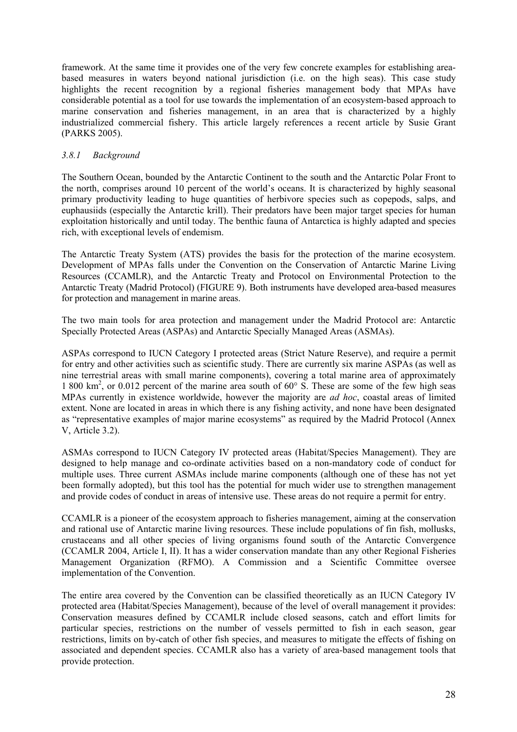framework. At the same time it provides one of the very few concrete examples for establishing areabased measures in waters beyond national jurisdiction (i.e. on the high seas). This case study highlights the recent recognition by a regional fisheries management body that MPAs have considerable potential as a tool for use towards the implementation of an ecosystem-based approach to marine conservation and fisheries management, in an area that is characterized by a highly industrialized commercial fishery. This article largely references a recent article by Susie Grant (PARKS 2005).

### *3.8.1 Background*

The Southern Ocean, bounded by the Antarctic Continent to the south and the Antarctic Polar Front to the north, comprises around 10 percent of the world's oceans. It is characterized by highly seasonal primary productivity leading to huge quantities of herbivore species such as copepods, salps, and euphausiids (especially the Antarctic krill). Their predators have been major target species for human exploitation historically and until today. The benthic fauna of Antarctica is highly adapted and species rich, with exceptional levels of endemism.

The Antarctic Treaty System (ATS) provides the basis for the protection of the marine ecosystem. Development of MPAs falls under the Convention on the Conservation of Antarctic Marine Living Resources (CCAMLR), and the Antarctic Treaty and Protocol on Environmental Protection to the Antarctic Treaty (Madrid Protocol) (FIGURE 9). Both instruments have developed area-based measures for protection and management in marine areas.

The two main tools for area protection and management under the Madrid Protocol are: Antarctic Specially Protected Areas (ASPAs) and Antarctic Specially Managed Areas (ASMAs).

ASPAs correspond to IUCN Category I protected areas (Strict Nature Reserve), and require a permit for entry and other activities such as scientific study. There are currently six marine ASPAs (as well as nine terrestrial areas with small marine components), covering a total marine area of approximately 1 800 km<sup>2</sup>, or 0.012 percent of the marine area south of 60° S. These are some of the few high seas MPAs currently in existence worldwide, however the majority are *ad hoc*, coastal areas of limited extent. None are located in areas in which there is any fishing activity, and none have been designated as "representative examples of major marine ecosystems" as required by the Madrid Protocol (Annex V, Article 3.2).

ASMAs correspond to IUCN Category IV protected areas (Habitat/Species Management). They are designed to help manage and co-ordinate activities based on a non-mandatory code of conduct for multiple uses. Three current ASMAs include marine components (although one of these has not yet been formally adopted), but this tool has the potential for much wider use to strengthen management and provide codes of conduct in areas of intensive use. These areas do not require a permit for entry.

CCAMLR is a pioneer of the ecosystem approach to fisheries management, aiming at the conservation and rational use of Antarctic marine living resources. These include populations of fin fish, mollusks, crustaceans and all other species of living organisms found south of the Antarctic Convergence (CCAMLR 2004, Article I, II). It has a wider conservation mandate than any other Regional Fisheries Management Organization (RFMO). A Commission and a Scientific Committee oversee implementation of the Convention.

The entire area covered by the Convention can be classified theoretically as an IUCN Category IV protected area (Habitat/Species Management), because of the level of overall management it provides: Conservation measures defined by CCAMLR include closed seasons, catch and effort limits for particular species, restrictions on the number of vessels permitted to fish in each season, gear restrictions, limits on by-catch of other fish species, and measures to mitigate the effects of fishing on associated and dependent species. CCAMLR also has a variety of area-based management tools that provide protection.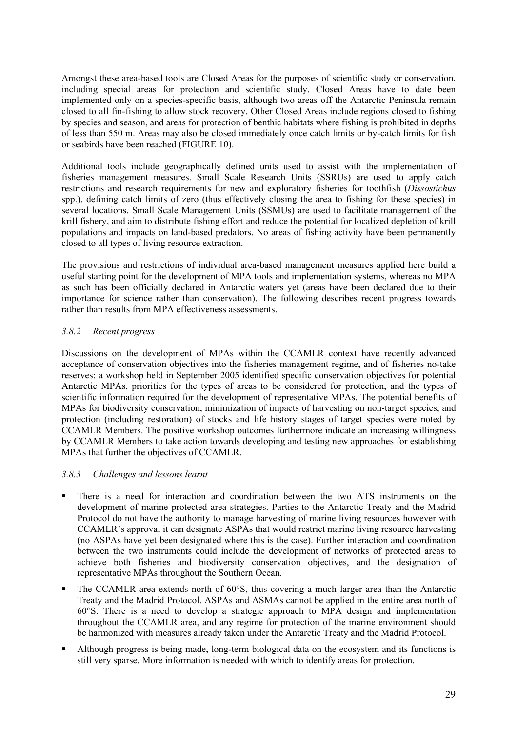Amongst these area-based tools are Closed Areas for the purposes of scientific study or conservation, including special areas for protection and scientific study. Closed Areas have to date been implemented only on a species-specific basis, although two areas off the Antarctic Peninsula remain closed to all fin-fishing to allow stock recovery. Other Closed Areas include regions closed to fishing by species and season, and areas for protection of benthic habitats where fishing is prohibited in depths of less than 550 m. Areas may also be closed immediately once catch limits or by-catch limits for fish or seabirds have been reached (FIGURE 10).

Additional tools include geographically defined units used to assist with the implementation of fisheries management measures. Small Scale Research Units (SSRUs) are used to apply catch restrictions and research requirements for new and exploratory fisheries for toothfish (*Dissostichus*  spp.), defining catch limits of zero (thus effectively closing the area to fishing for these species) in several locations. Small Scale Management Units (SSMUs) are used to facilitate management of the krill fishery, and aim to distribute fishing effort and reduce the potential for localized depletion of krill populations and impacts on land-based predators. No areas of fishing activity have been permanently closed to all types of living resource extraction.

The provisions and restrictions of individual area-based management measures applied here build a useful starting point for the development of MPA tools and implementation systems, whereas no MPA as such has been officially declared in Antarctic waters yet (areas have been declared due to their importance for science rather than conservation). The following describes recent progress towards rather than results from MPA effectiveness assessments.

### *3.8.2 Recent progress*

Discussions on the development of MPAs within the CCAMLR context have recently advanced acceptance of conservation objectives into the fisheries management regime, and of fisheries no-take reserves: a workshop held in September 2005 identified specific conservation objectives for potential Antarctic MPAs, priorities for the types of areas to be considered for protection, and the types of scientific information required for the development of representative MPAs. The potential benefits of MPAs for biodiversity conservation, minimization of impacts of harvesting on non-target species, and protection (including restoration) of stocks and life history stages of target species were noted by CCAMLR Members. The positive workshop outcomes furthermore indicate an increasing willingness by CCAMLR Members to take action towards developing and testing new approaches for establishing MPAs that further the objectives of CCAMLR.

### *3.8.3 Challenges and lessons learnt*

- There is a need for interaction and coordination between the two ATS instruments on the development of marine protected area strategies. Parties to the Antarctic Treaty and the Madrid Protocol do not have the authority to manage harvesting of marine living resources however with CCAMLR's approval it can designate ASPAs that would restrict marine living resource harvesting (no ASPAs have yet been designated where this is the case). Further interaction and coordination between the two instruments could include the development of networks of protected areas to achieve both fisheries and biodiversity conservation objectives, and the designation of representative MPAs throughout the Southern Ocean.
- The CCAMLR area extends north of 60°S, thus covering a much larger area than the Antarctic Treaty and the Madrid Protocol. ASPAs and ASMAs cannot be applied in the entire area north of 60°S. There is a need to develop a strategic approach to MPA design and implementation throughout the CCAMLR area, and any regime for protection of the marine environment should be harmonized with measures already taken under the Antarctic Treaty and the Madrid Protocol.
- Although progress is being made, long-term biological data on the ecosystem and its functions is still very sparse. More information is needed with which to identify areas for protection.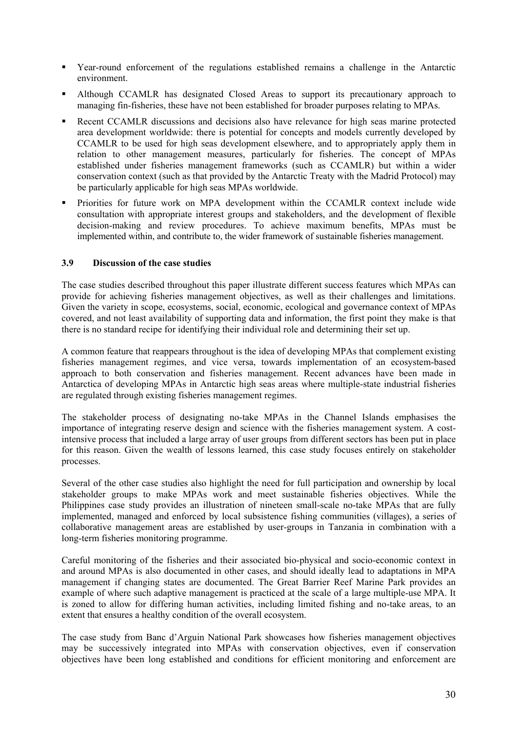- Year-round enforcement of the regulations established remains a challenge in the Antarctic environment.
- Although CCAMLR has designated Closed Areas to support its precautionary approach to managing fin-fisheries, these have not been established for broader purposes relating to MPAs.
- Recent CCAMLR discussions and decisions also have relevance for high seas marine protected area development worldwide: there is potential for concepts and models currently developed by CCAMLR to be used for high seas development elsewhere, and to appropriately apply them in relation to other management measures, particularly for fisheries. The concept of MPAs established under fisheries management frameworks (such as CCAMLR) but within a wider conservation context (such as that provided by the Antarctic Treaty with the Madrid Protocol) may be particularly applicable for high seas MPAs worldwide.
- Priorities for future work on MPA development within the CCAMLR context include wide consultation with appropriate interest groups and stakeholders, and the development of flexible decision-making and review procedures. To achieve maximum benefits, MPAs must be implemented within, and contribute to, the wider framework of sustainable fisheries management.

### **3.9 Discussion of the case studies**

The case studies described throughout this paper illustrate different success features which MPAs can provide for achieving fisheries management objectives, as well as their challenges and limitations. Given the variety in scope, ecosystems, social, economic, ecological and governance context of MPAs covered, and not least availability of supporting data and information, the first point they make is that there is no standard recipe for identifying their individual role and determining their set up.

A common feature that reappears throughout is the idea of developing MPAs that complement existing fisheries management regimes, and vice versa, towards implementation of an ecosystem-based approach to both conservation and fisheries management. Recent advances have been made in Antarctica of developing MPAs in Antarctic high seas areas where multiple-state industrial fisheries are regulated through existing fisheries management regimes.

The stakeholder process of designating no-take MPAs in the Channel Islands emphasises the importance of integrating reserve design and science with the fisheries management system. A costintensive process that included a large array of user groups from different sectors has been put in place for this reason. Given the wealth of lessons learned, this case study focuses entirely on stakeholder processes.

Several of the other case studies also highlight the need for full participation and ownership by local stakeholder groups to make MPAs work and meet sustainable fisheries objectives. While the Philippines case study provides an illustration of nineteen small-scale no-take MPAs that are fully implemented, managed and enforced by local subsistence fishing communities (villages), a series of collaborative management areas are established by user-groups in Tanzania in combination with a long-term fisheries monitoring programme.

Careful monitoring of the fisheries and their associated bio-physical and socio-economic context in and around MPAs is also documented in other cases, and should ideally lead to adaptations in MPA management if changing states are documented. The Great Barrier Reef Marine Park provides an example of where such adaptive management is practiced at the scale of a large multiple-use MPA. It is zoned to allow for differing human activities, including limited fishing and no-take areas, to an extent that ensures a healthy condition of the overall ecosystem.

The case study from Banc d'Arguin National Park showcases how fisheries management objectives may be successively integrated into MPAs with conservation objectives, even if conservation objectives have been long established and conditions for efficient monitoring and enforcement are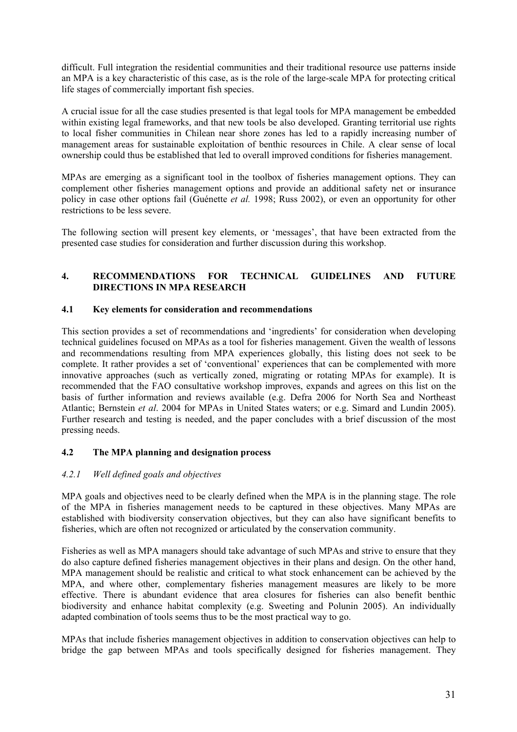difficult. Full integration the residential communities and their traditional resource use patterns inside an MPA is a key characteristic of this case, as is the role of the large-scale MPA for protecting critical life stages of commercially important fish species.

A crucial issue for all the case studies presented is that legal tools for MPA management be embedded within existing legal frameworks, and that new tools be also developed. Granting territorial use rights to local fisher communities in Chilean near shore zones has led to a rapidly increasing number of management areas for sustainable exploitation of benthic resources in Chile. A clear sense of local ownership could thus be established that led to overall improved conditions for fisheries management.

MPAs are emerging as a significant tool in the toolbox of fisheries management options. They can complement other fisheries management options and provide an additional safety net or insurance policy in case other options fail (Guénette *et al.* 1998; Russ 2002), or even an opportunity for other restrictions to be less severe.

The following section will present key elements, or 'messages', that have been extracted from the presented case studies for consideration and further discussion during this workshop.

### **4. RECOMMENDATIONS FOR TECHNICAL GUIDELINES AND FUTURE DIRECTIONS IN MPA RESEARCH**

### **4.1 Key elements for consideration and recommendations**

This section provides a set of recommendations and 'ingredients' for consideration when developing technical guidelines focused on MPAs as a tool for fisheries management. Given the wealth of lessons and recommendations resulting from MPA experiences globally, this listing does not seek to be complete. It rather provides a set of 'conventional' experiences that can be complemented with more innovative approaches (such as vertically zoned, migrating or rotating MPAs for example). It is recommended that the FAO consultative workshop improves, expands and agrees on this list on the basis of further information and reviews available (e.g. Defra 2006 for North Sea and Northeast Atlantic; Bernstein *et al*. 2004 for MPAs in United States waters; or e.g. Simard and Lundin 2005). Further research and testing is needed, and the paper concludes with a brief discussion of the most pressing needs.

### **4.2 The MPA planning and designation process**

### *4.2.1 Well defined goals and objectives*

MPA goals and objectives need to be clearly defined when the MPA is in the planning stage. The role of the MPA in fisheries management needs to be captured in these objectives. Many MPAs are established with biodiversity conservation objectives, but they can also have significant benefits to fisheries, which are often not recognized or articulated by the conservation community.

Fisheries as well as MPA managers should take advantage of such MPAs and strive to ensure that they do also capture defined fisheries management objectives in their plans and design. On the other hand, MPA management should be realistic and critical to what stock enhancement can be achieved by the MPA, and where other, complementary fisheries management measures are likely to be more effective. There is abundant evidence that area closures for fisheries can also benefit benthic biodiversity and enhance habitat complexity (e.g. Sweeting and Polunin 2005). An individually adapted combination of tools seems thus to be the most practical way to go.

MPAs that include fisheries management objectives in addition to conservation objectives can help to bridge the gap between MPAs and tools specifically designed for fisheries management. They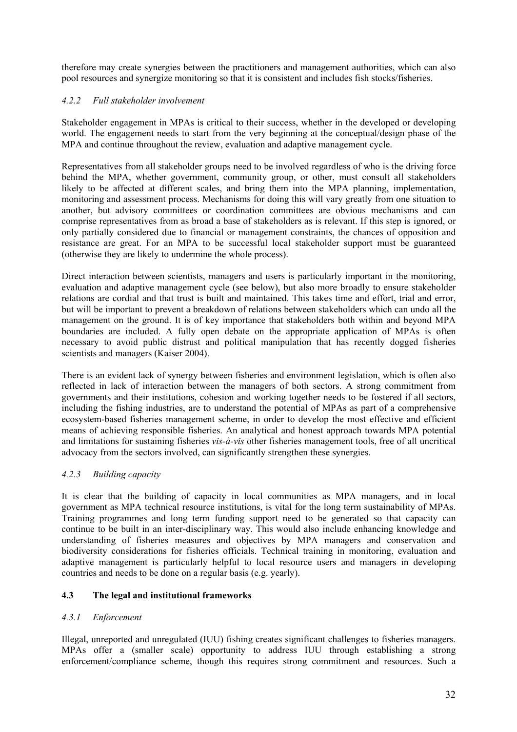therefore may create synergies between the practitioners and management authorities, which can also pool resources and synergize monitoring so that it is consistent and includes fish stocks/fisheries.

# *4.2.2 Full stakeholder involvement*

Stakeholder engagement in MPAs is critical to their success, whether in the developed or developing world. The engagement needs to start from the very beginning at the conceptual/design phase of the MPA and continue throughout the review, evaluation and adaptive management cycle.

Representatives from all stakeholder groups need to be involved regardless of who is the driving force behind the MPA, whether government, community group, or other, must consult all stakeholders likely to be affected at different scales, and bring them into the MPA planning, implementation, monitoring and assessment process. Mechanisms for doing this will vary greatly from one situation to another, but advisory committees or coordination committees are obvious mechanisms and can comprise representatives from as broad a base of stakeholders as is relevant. If this step is ignored, or only partially considered due to financial or management constraints, the chances of opposition and resistance are great. For an MPA to be successful local stakeholder support must be guaranteed (otherwise they are likely to undermine the whole process).

Direct interaction between scientists, managers and users is particularly important in the monitoring, evaluation and adaptive management cycle (see below), but also more broadly to ensure stakeholder relations are cordial and that trust is built and maintained. This takes time and effort, trial and error, but will be important to prevent a breakdown of relations between stakeholders which can undo all the management on the ground. It is of key importance that stakeholders both within and beyond MPA boundaries are included. A fully open debate on the appropriate application of MPAs is often necessary to avoid public distrust and political manipulation that has recently dogged fisheries scientists and managers (Kaiser 2004).

There is an evident lack of synergy between fisheries and environment legislation, which is often also reflected in lack of interaction between the managers of both sectors. A strong commitment from governments and their institutions, cohesion and working together needs to be fostered if all sectors, including the fishing industries, are to understand the potential of MPAs as part of a comprehensive ecosystem-based fisheries management scheme, in order to develop the most effective and efficient means of achieving responsible fisheries. An analytical and honest approach towards MPA potential and limitations for sustaining fisheries *vis-à-vis* other fisheries management tools, free of all uncritical advocacy from the sectors involved, can significantly strengthen these synergies.

### *4.2.3 Building capacity*

It is clear that the building of capacity in local communities as MPA managers, and in local government as MPA technical resource institutions, is vital for the long term sustainability of MPAs. Training programmes and long term funding support need to be generated so that capacity can continue to be built in an inter-disciplinary way. This would also include enhancing knowledge and understanding of fisheries measures and objectives by MPA managers and conservation and biodiversity considerations for fisheries officials. Technical training in monitoring, evaluation and adaptive management is particularly helpful to local resource users and managers in developing countries and needs to be done on a regular basis (e.g. yearly).

### **4.3 The legal and institutional frameworks**

### *4.3.1 Enforcement*

Illegal, unreported and unregulated (IUU) fishing creates significant challenges to fisheries managers. MPAs offer a (smaller scale) opportunity to address IUU through establishing a strong enforcement/compliance scheme, though this requires strong commitment and resources. Such a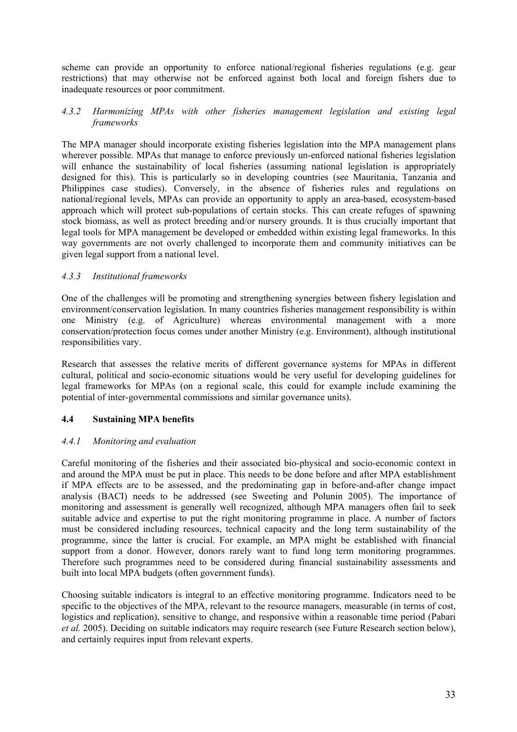scheme can provide an opportunity to enforce national/regional fisheries regulations (e.g. gear restrictions) that may otherwise not be enforced against both local and foreign fishers due to inadequate resources or poor commitment.

#### *4.3.2 Harmonizing MPAs with other fisheries management legislation and existing legal frameworks*

The MPA manager should incorporate existing fisheries legislation into the MPA management plans wherever possible. MPAs that manage to enforce previously un-enforced national fisheries legislation will enhance the sustainability of local fisheries (assuming national legislation is appropriately designed for this). This is particularly so in developing countries (see Mauritania, Tanzania and Philippines case studies). Conversely, in the absence of fisheries rules and regulations on national/regional levels, MPAs can provide an opportunity to apply an area-based, ecosystem-based approach which will protect sub-populations of certain stocks. This can create refuges of spawning stock biomass, as well as protect breeding and/or nursery grounds. It is thus crucially important that legal tools for MPA management be developed or embedded within existing legal frameworks. In this way governments are not overly challenged to incorporate them and community initiatives can be given legal support from a national level.

### *4.3.3 Institutional frameworks*

One of the challenges will be promoting and strengthening synergies between fishery legislation and environment/conservation legislation. In many countries fisheries management responsibility is within one Ministry (e.g. of Agriculture) whereas environmental management with a more conservation/protection focus comes under another Ministry (e.g. Environment), although institutional responsibilities vary.

Research that assesses the relative merits of different governance systems for MPAs in different cultural, political and socio-economic situations would be very useful for developing guidelines for legal frameworks for MPAs (on a regional scale, this could for example include examining the potential of inter-governmental commissions and similar governance units).

### **4.4 Sustaining MPA benefits**

### *4.4.1 Monitoring and evaluation*

Careful monitoring of the fisheries and their associated bio-physical and socio-economic context in and around the MPA must be put in place. This needs to be done before and after MPA establishment if MPA effects are to be assessed, and the predominating gap in before-and-after change impact analysis (BACI) needs to be addressed (see Sweeting and Polunin 2005). The importance of monitoring and assessment is generally well recognized, although MPA managers often fail to seek suitable advice and expertise to put the right monitoring programme in place. A number of factors must be considered including resources, technical capacity and the long term sustainability of the programme, since the latter is crucial. For example, an MPA might be established with financial support from a donor. However, donors rarely want to fund long term monitoring programmes. Therefore such programmes need to be considered during financial sustainability assessments and built into local MPA budgets (often government funds).

Choosing suitable indicators is integral to an effective monitoring programme. Indicators need to be specific to the objectives of the MPA, relevant to the resource managers, measurable (in terms of cost, logistics and replication), sensitive to change, and responsive within a reasonable time period (Pabari *et al.* 2005). Deciding on suitable indicators may require research (see Future Research section below), and certainly requires input from relevant experts.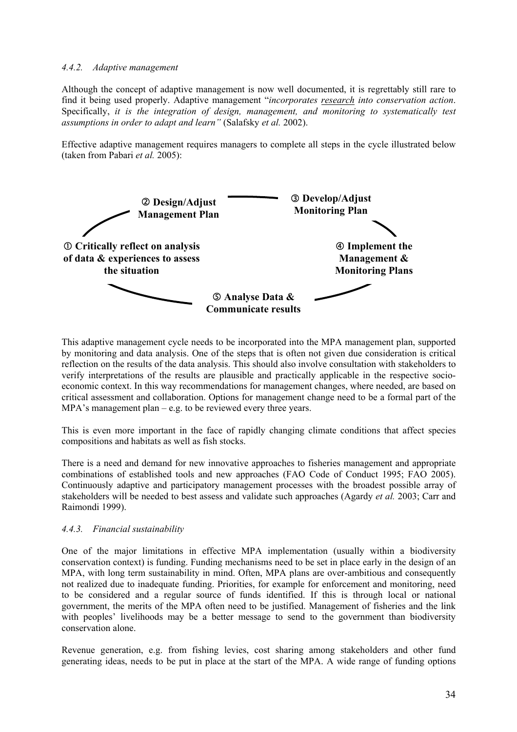#### *4.4.2. Adaptive management*

Although the concept of adaptive management is now well documented, it is regrettably still rare to find it being used properly. Adaptive management "*incorporates research into conservation action*. Specifically, *it is the integration of design, management, and monitoring to systematically test assumptions in order to adapt and learn"* (Salafsky *et al.* 2002).

Effective adaptive management requires managers to complete all steps in the cycle illustrated below (taken from Pabari *et al.* 2005):



This adaptive management cycle needs to be incorporated into the MPA management plan, supported by monitoring and data analysis. One of the steps that is often not given due consideration is critical reflection on the results of the data analysis. This should also involve consultation with stakeholders to verify interpretations of the results are plausible and practically applicable in the respective socioeconomic context. In this way recommendations for management changes, where needed, are based on critical assessment and collaboration. Options for management change need to be a formal part of the MPA's management plan – e.g. to be reviewed every three years.

This is even more important in the face of rapidly changing climate conditions that affect species compositions and habitats as well as fish stocks.

There is a need and demand for new innovative approaches to fisheries management and appropriate combinations of established tools and new approaches (FAO Code of Conduct 1995; FAO 2005). Continuously adaptive and participatory management processes with the broadest possible array of stakeholders will be needed to best assess and validate such approaches (Agardy *et al.* 2003; Carr and Raimondi 1999).

#### *4.4.3. Financial sustainability*

One of the major limitations in effective MPA implementation (usually within a biodiversity conservation context) is funding. Funding mechanisms need to be set in place early in the design of an MPA, with long term sustainability in mind. Often, MPA plans are over-ambitious and consequently not realized due to inadequate funding. Priorities, for example for enforcement and monitoring, need to be considered and a regular source of funds identified. If this is through local or national government, the merits of the MPA often need to be justified. Management of fisheries and the link with peoples' livelihoods may be a better message to send to the government than biodiversity conservation alone.

Revenue generation, e.g. from fishing levies, cost sharing among stakeholders and other fund generating ideas, needs to be put in place at the start of the MPA. A wide range of funding options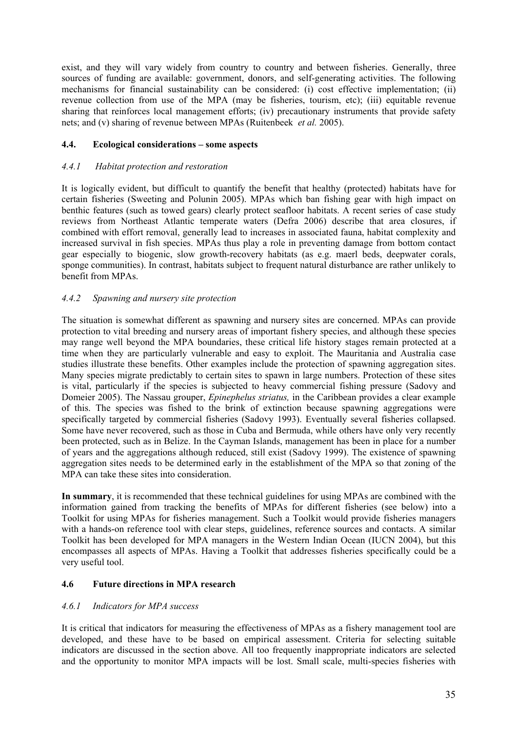exist, and they will vary widely from country to country and between fisheries. Generally, three sources of funding are available: government, donors, and self-generating activities. The following mechanisms for financial sustainability can be considered: (i) cost effective implementation; (ii) revenue collection from use of the MPA (may be fisheries, tourism, etc); (iii) equitable revenue sharing that reinforces local management efforts; (iv) precautionary instruments that provide safety nets; and (v) sharing of revenue between MPAs (Ruitenbeek *et al.* 2005).

### **4.4. Ecological considerations – some aspects**

#### *4.4.1 Habitat protection and restoration*

It is logically evident, but difficult to quantify the benefit that healthy (protected) habitats have for certain fisheries (Sweeting and Polunin 2005). MPAs which ban fishing gear with high impact on benthic features (such as towed gears) clearly protect seafloor habitats. A recent series of case study reviews from Northeast Atlantic temperate waters (Defra 2006) describe that area closures, if combined with effort removal, generally lead to increases in associated fauna, habitat complexity and increased survival in fish species. MPAs thus play a role in preventing damage from bottom contact gear especially to biogenic, slow growth-recovery habitats (as e.g. maerl beds, deepwater corals, sponge communities). In contrast, habitats subject to frequent natural disturbance are rather unlikely to benefit from MPAs.

### *4.4.2 Spawning and nursery site protection*

The situation is somewhat different as spawning and nursery sites are concerned. MPAs can provide protection to vital breeding and nursery areas of important fishery species, and although these species may range well beyond the MPA boundaries, these critical life history stages remain protected at a time when they are particularly vulnerable and easy to exploit. The Mauritania and Australia case studies illustrate these benefits. Other examples include the protection of spawning aggregation sites. Many species migrate predictably to certain sites to spawn in large numbers. Protection of these sites is vital, particularly if the species is subjected to heavy commercial fishing pressure (Sadovy and Domeier 2005). The Nassau grouper, *Epinephelus striatus,* in the Caribbean provides a clear example of this. The species was fished to the brink of extinction because spawning aggregations were specifically targeted by commercial fisheries (Sadovy 1993). Eventually several fisheries collapsed. Some have never recovered, such as those in Cuba and Bermuda, while others have only very recently been protected, such as in Belize. In the Cayman Islands, management has been in place for a number of years and the aggregations although reduced, still exist (Sadovy 1999). The existence of spawning aggregation sites needs to be determined early in the establishment of the MPA so that zoning of the MPA can take these sites into consideration.

**In summary**, it is recommended that these technical guidelines for using MPAs are combined with the information gained from tracking the benefits of MPAs for different fisheries (see below) into a Toolkit for using MPAs for fisheries management. Such a Toolkit would provide fisheries managers with a hands-on reference tool with clear steps, guidelines, reference sources and contacts. A similar Toolkit has been developed for MPA managers in the Western Indian Ocean (IUCN 2004), but this encompasses all aspects of MPAs. Having a Toolkit that addresses fisheries specifically could be a very useful tool.

#### **4.6 Future directions in MPA research**

#### *4.6.1 Indicators for MPA success*

It is critical that indicators for measuring the effectiveness of MPAs as a fishery management tool are developed, and these have to be based on empirical assessment. Criteria for selecting suitable indicators are discussed in the section above. All too frequently inappropriate indicators are selected and the opportunity to monitor MPA impacts will be lost. Small scale, multi-species fisheries with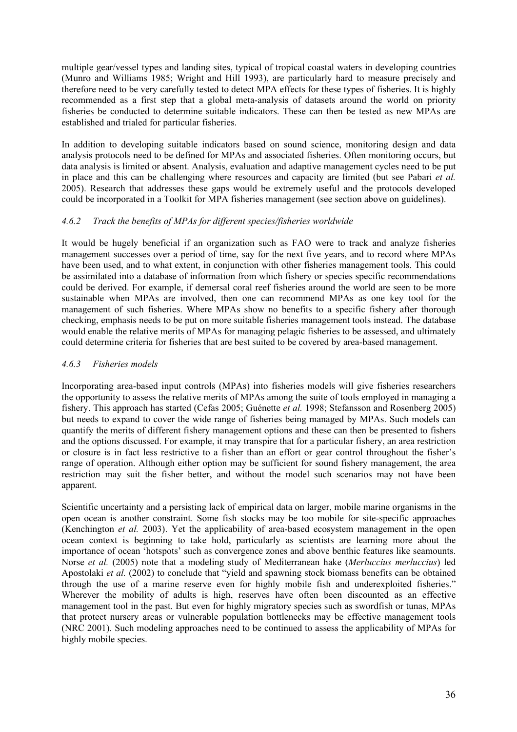multiple gear/vessel types and landing sites, typical of tropical coastal waters in developing countries (Munro and Williams 1985; Wright and Hill 1993), are particularly hard to measure precisely and therefore need to be very carefully tested to detect MPA effects for these types of fisheries. It is highly recommended as a first step that a global meta-analysis of datasets around the world on priority fisheries be conducted to determine suitable indicators. These can then be tested as new MPAs are established and trialed for particular fisheries.

In addition to developing suitable indicators based on sound science, monitoring design and data analysis protocols need to be defined for MPAs and associated fisheries. Often monitoring occurs, but data analysis is limited or absent. Analysis, evaluation and adaptive management cycles need to be put in place and this can be challenging where resources and capacity are limited (but see Pabari *et al.* 2005). Research that addresses these gaps would be extremely useful and the protocols developed could be incorporated in a Toolkit for MPA fisheries management (see section above on guidelines).

### *4.6.2 Track the benefits of MPAs for different species/fisheries worldwide*

It would be hugely beneficial if an organization such as FAO were to track and analyze fisheries management successes over a period of time, say for the next five years, and to record where MPAs have been used, and to what extent, in conjunction with other fisheries management tools. This could be assimilated into a database of information from which fishery or species specific recommendations could be derived. For example, if demersal coral reef fisheries around the world are seen to be more sustainable when MPAs are involved, then one can recommend MPAs as one key tool for the management of such fisheries. Where MPAs show no benefits to a specific fishery after thorough checking, emphasis needs to be put on more suitable fisheries management tools instead. The database would enable the relative merits of MPAs for managing pelagic fisheries to be assessed, and ultimately could determine criteria for fisheries that are best suited to be covered by area-based management.

## *4.6.3 Fisheries models*

Incorporating area-based input controls (MPAs) into fisheries models will give fisheries researchers the opportunity to assess the relative merits of MPAs among the suite of tools employed in managing a fishery. This approach has started (Cefas 2005; Guénette *et al.* 1998; Stefansson and Rosenberg 2005) but needs to expand to cover the wide range of fisheries being managed by MPAs. Such models can quantify the merits of different fishery management options and these can then be presented to fishers and the options discussed. For example, it may transpire that for a particular fishery, an area restriction or closure is in fact less restrictive to a fisher than an effort or gear control throughout the fisher's range of operation. Although either option may be sufficient for sound fishery management, the area restriction may suit the fisher better, and without the model such scenarios may not have been apparent.

Scientific uncertainty and a persisting lack of empirical data on larger, mobile marine organisms in the open ocean is another constraint. Some fish stocks may be too mobile for site-specific approaches (Kenchington *et al.* 2003). Yet the applicability of area-based ecosystem management in the open ocean context is beginning to take hold, particularly as scientists are learning more about the importance of ocean 'hotspots' such as convergence zones and above benthic features like seamounts. Norse *et al.* (2005) note that a modeling study of Mediterranean hake (*Merluccius merluccius*) led Apostolaki *et al.* (2002) to conclude that "yield and spawning stock biomass benefits can be obtained through the use of a marine reserve even for highly mobile fish and underexploited fisheries." Wherever the mobility of adults is high, reserves have often been discounted as an effective management tool in the past. But even for highly migratory species such as swordfish or tunas, MPAs that protect nursery areas or vulnerable population bottlenecks may be effective management tools (NRC 2001). Such modeling approaches need to be continued to assess the applicability of MPAs for highly mobile species.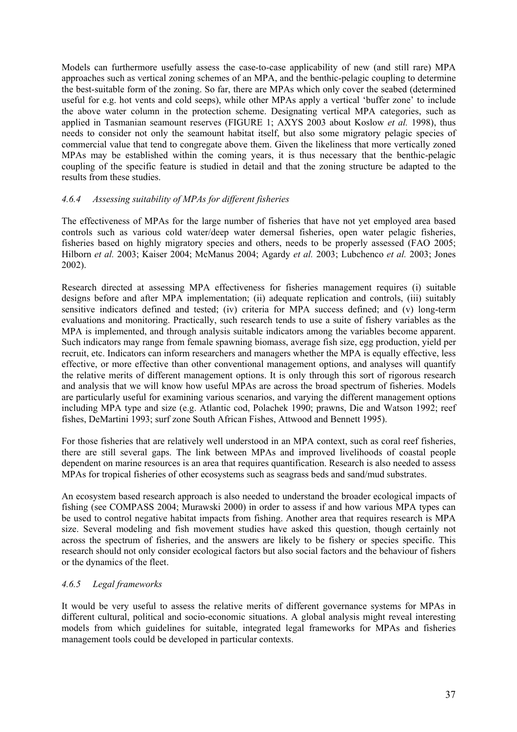Models can furthermore usefully assess the case-to-case applicability of new (and still rare) MPA approaches such as vertical zoning schemes of an MPA, and the benthic-pelagic coupling to determine the best-suitable form of the zoning. So far, there are MPAs which only cover the seabed (determined useful for e.g. hot vents and cold seeps), while other MPAs apply a vertical 'buffer zone' to include the above water column in the protection scheme. Designating vertical MPA categories, such as applied in Tasmanian seamount reserves (FIGURE 1; AXYS 2003 about Koslow *et al.* 1998), thus needs to consider not only the seamount habitat itself, but also some migratory pelagic species of commercial value that tend to congregate above them. Given the likeliness that more vertically zoned MPAs may be established within the coming years, it is thus necessary that the benthic-pelagic coupling of the specific feature is studied in detail and that the zoning structure be adapted to the results from these studies.

### *4.6.4 Assessing suitability of MPAs for different fisheries*

The effectiveness of MPAs for the large number of fisheries that have not yet employed area based controls such as various cold water/deep water demersal fisheries, open water pelagic fisheries, fisheries based on highly migratory species and others, needs to be properly assessed (FAO 2005; Hilborn *et al.* 2003; Kaiser 2004; McManus 2004; Agardy *et al.* 2003; Lubchenco *et al.* 2003; Jones 2002).

Research directed at assessing MPA effectiveness for fisheries management requires (i) suitable designs before and after MPA implementation; (ii) adequate replication and controls, (iii) suitably sensitive indicators defined and tested; (iv) criteria for MPA success defined; and (v) long-term evaluations and monitoring. Practically, such research tends to use a suite of fishery variables as the MPA is implemented, and through analysis suitable indicators among the variables become apparent. Such indicators may range from female spawning biomass, average fish size, egg production, yield per recruit, etc. Indicators can inform researchers and managers whether the MPA is equally effective, less effective, or more effective than other conventional management options, and analyses will quantify the relative merits of different management options. It is only through this sort of rigorous research and analysis that we will know how useful MPAs are across the broad spectrum of fisheries. Models are particularly useful for examining various scenarios, and varying the different management options including MPA type and size (e.g. Atlantic cod, Polachek 1990; prawns, Die and Watson 1992; reef fishes, DeMartini 1993; surf zone South African Fishes, Attwood and Bennett 1995).

For those fisheries that are relatively well understood in an MPA context, such as coral reef fisheries, there are still several gaps. The link between MPAs and improved livelihoods of coastal people dependent on marine resources is an area that requires quantification. Research is also needed to assess MPAs for tropical fisheries of other ecosystems such as seagrass beds and sand/mud substrates.

An ecosystem based research approach is also needed to understand the broader ecological impacts of fishing (see COMPASS 2004; Murawski 2000) in order to assess if and how various MPA types can be used to control negative habitat impacts from fishing. Another area that requires research is MPA size. Several modeling and fish movement studies have asked this question, though certainly not across the spectrum of fisheries, and the answers are likely to be fishery or species specific. This research should not only consider ecological factors but also social factors and the behaviour of fishers or the dynamics of the fleet.

#### *4.6.5 Legal frameworks*

It would be very useful to assess the relative merits of different governance systems for MPAs in different cultural, political and socio-economic situations. A global analysis might reveal interesting models from which guidelines for suitable, integrated legal frameworks for MPAs and fisheries management tools could be developed in particular contexts.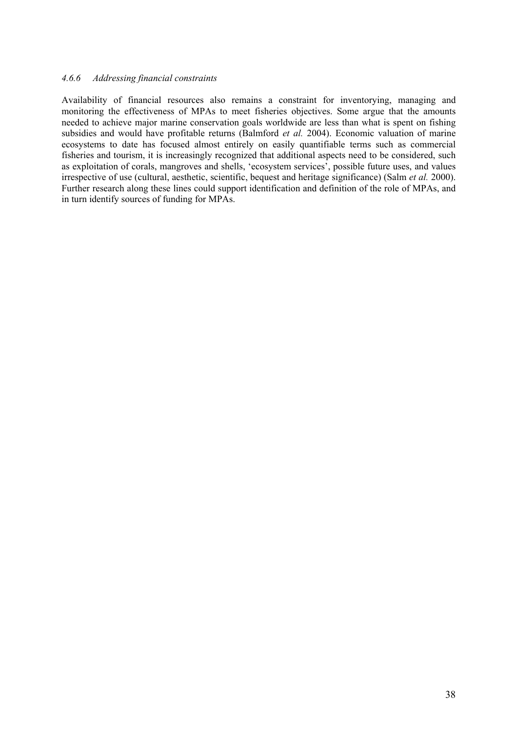#### *4.6.6 Addressing financial constraints*

Availability of financial resources also remains a constraint for inventorying, managing and monitoring the effectiveness of MPAs to meet fisheries objectives. Some argue that the amounts needed to achieve major marine conservation goals worldwide are less than what is spent on fishing subsidies and would have profitable returns (Balmford *et al.* 2004). Economic valuation of marine ecosystems to date has focused almost entirely on easily quantifiable terms such as commercial fisheries and tourism, it is increasingly recognized that additional aspects need to be considered, such as exploitation of corals, mangroves and shells, 'ecosystem services', possible future uses, and values irrespective of use (cultural, aesthetic, scientific, bequest and heritage significance) (Salm *et al.* 2000). Further research along these lines could support identification and definition of the role of MPAs, and in turn identify sources of funding for MPAs.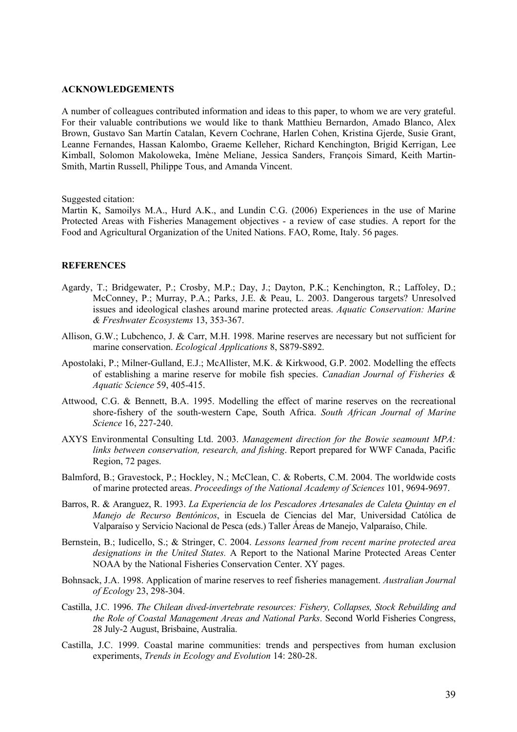#### **ACKNOWLEDGEMENTS**

A number of colleagues contributed information and ideas to this paper, to whom we are very grateful. For their valuable contributions we would like to thank Matthieu Bernardon, Amado Blanco, Alex Brown, Gustavo San Martín Catalan, Kevern Cochrane, Harlen Cohen, Kristina Gjerde, Susie Grant, Leanne Fernandes, Hassan Kalombo, Graeme Kelleher, Richard Kenchington, Brigid Kerrigan, Lee Kimball, Solomon Makoloweka, Imène Meliane, Jessica Sanders, François Simard, Keith Martin-Smith, Martin Russell, Philippe Tous, and Amanda Vincent.

Suggested citation:

Martin K, Samoilys M.A., Hurd A.K., and Lundin C.G. (2006) Experiences in the use of Marine Protected Areas with Fisheries Management objectives - a review of case studies. A report for the Food and Agricultural Organization of the United Nations. FAO, Rome, Italy. 56 pages.

#### **REFERENCES**

- Agardy, T.; Bridgewater, P.; Crosby, M.P.; Day, J.; Dayton, P.K.; Kenchington, R.; Laffoley, D.; McConney, P.; Murray, P.A.; Parks, J.E. & Peau, L. 2003. Dangerous targets? Unresolved issues and ideological clashes around marine protected areas. *Aquatic Conservation: Marine & Freshwater Ecosystems* 13, 353-367.
- Allison, G.W.; Lubchenco, J. & Carr, M.H. 1998. Marine reserves are necessary but not sufficient for marine conservation. *Ecological Applications* 8, S879-S892.
- Apostolaki, P.; Milner-Gulland, E.J.; McAllister, M.K. & Kirkwood, G.P. 2002. Modelling the effects of establishing a marine reserve for mobile fish species. *Canadian Journal of Fisheries & Aquatic Science* 59, 405-415.
- Attwood, C.G. & Bennett, B.A. 1995. Modelling the effect of marine reserves on the recreational shore-fishery of the south-western Cape, South Africa. *South African Journal of Marine Science* 16, 227-240.
- AXYS Environmental Consulting Ltd. 2003. *Management direction for the Bowie seamount MPA: links between conservation, research, and fishing*. Report prepared for WWF Canada, Pacific Region, 72 pages.
- Balmford, B.; Gravestock, P.; Hockley, N.; McClean, C. & Roberts, C.M. 2004. The worldwide costs of marine protected areas. *Proceedings of the National Academy of Sciences* 101, 9694-9697.
- Barros, R. & Aranguez, R. 1993. *La Experiencia de los Pescadores Artesanales de Caleta Quintay en el Manejo de Recurso Bentónicos*, in Escuela de Ciencias del Mar, Universidad Católica de Valparaíso y Servicio Nacional de Pesca (eds.) Taller Áreas de Manejo, Valparaíso, Chile.
- Bernstein, B.; Iudicello, S.; & Stringer, C. 2004. *Lessons learned from recent marine protected area designations in the United States.* A Report to the National Marine Protected Areas Center NOAA by the National Fisheries Conservation Center. XY pages.
- Bohnsack, J.A. 1998. Application of marine reserves to reef fisheries management. *Australian Journal of Ecology* 23, 298-304.
- Castilla, J.C. 1996. *The Chilean dived-invertebrate resources: Fishery, Collapses, Stock Rebuilding and the Role of Coastal Management Areas and National Parks*. Second World Fisheries Congress, 28 July-2 August, Brisbaine, Australia.
- Castilla, J.C. 1999. Coastal marine communities: trends and perspectives from human exclusion experiments, *Trends in Ecology and Evolution* 14: 280-28.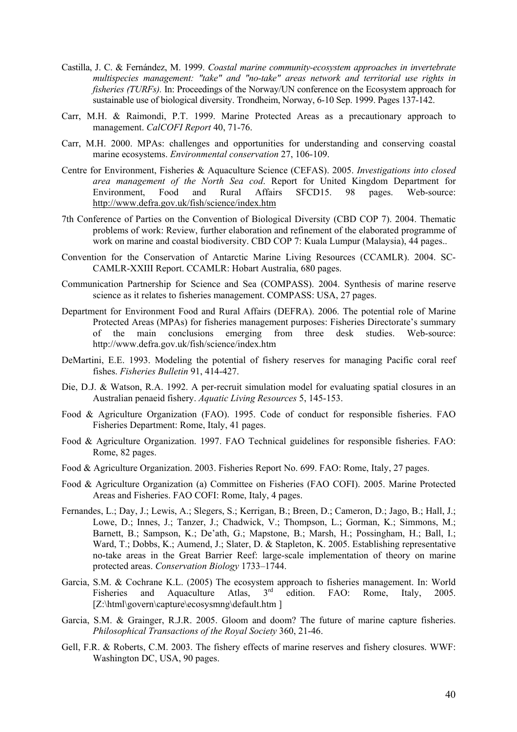- Castilla, J. C. & Fernández, M. 1999. *Coastal marine community-ecosystem approaches in invertebrate multispecies management: "take" and "no-take" areas network and territorial use rights in fisheries (TURFs).* In: Proceedings of the Norway/UN conference on the Ecosystem approach for sustainable use of biological diversity. Trondheim, Norway, 6-10 Sep. 1999. Pages 137-142.
- Carr, M.H. & Raimondi, P.T. 1999. Marine Protected Areas as a precautionary approach to management. *CalCOFI Report* 40, 71-76.
- Carr, M.H. 2000. MPAs: challenges and opportunities for understanding and conserving coastal marine ecosystems. *Environmental conservation* 27, 106-109.
- Centre for Environment, Fisheries & Aquaculture Science (CEFAS). 2005. *Investigations into closed area management of the North Sea cod*. Report for United Kingdom Department for Environment, Food and Rural Affairs SFCD15. 98 pages. Web-source: http://www.defra.gov.uk/fish/science/index.htm
- 7th Conference of Parties on the Convention of Biological Diversity (CBD COP 7). 2004. Thematic problems of work: Review, further elaboration and refinement of the elaborated programme of work on marine and coastal biodiversity. CBD COP 7: Kuala Lumpur (Malaysia), 44 pages..
- Convention for the Conservation of Antarctic Marine Living Resources (CCAMLR). 2004. SC-CAMLR-XXIII Report. CCAMLR: Hobart Australia, 680 pages.
- Communication Partnership for Science and Sea (COMPASS). 2004. Synthesis of marine reserve science as it relates to fisheries management. COMPASS: USA, 27 pages.
- Department for Environment Food and Rural Affairs (DEFRA). 2006. The potential role of Marine Protected Areas (MPAs) for fisheries management purposes: Fisheries Directorate's summary<br>of the main conclusions emerging from three desk studies. Web-source: of the main conclusions emerging from three desk studies. Web-source: http://www.defra.gov.uk/fish/science/index.htm
- DeMartini, E.E. 1993. Modeling the potential of fishery reserves for managing Pacific coral reef fishes. *Fisheries Bulletin* 91, 414-427.
- Die, D.J. & Watson, R.A. 1992. A per-recruit simulation model for evaluating spatial closures in an Australian penaeid fishery. *Aquatic Living Resources* 5, 145-153.
- Food & Agriculture Organization (FAO). 1995. Code of conduct for responsible fisheries. FAO Fisheries Department: Rome, Italy, 41 pages.
- Food & Agriculture Organization. 1997. FAO Technical guidelines for responsible fisheries. FAO: Rome, 82 pages.
- Food & Agriculture Organization. 2003. Fisheries Report No. 699. FAO: Rome, Italy, 27 pages.
- Food & Agriculture Organization (a) Committee on Fisheries (FAO COFI). 2005. Marine Protected Areas and Fisheries. FAO COFI: Rome, Italy, 4 pages.
- Fernandes, L.; Day, J.; Lewis, A.; Slegers, S.; Kerrigan, B.; Breen, D.; Cameron, D.; Jago, B.; Hall, J.; Lowe, D.; Innes, J.; Tanzer, J.; Chadwick, V.; Thompson, L.; Gorman, K.; Simmons, M.; Barnett, B.; Sampson, K.; De'ath, G.; Mapstone, B.; Marsh, H.; Possingham, H.; Ball, I.; Ward, T.; Dobbs, K.; Aumend, J.; Slater, D. & Stapleton, K. 2005. Establishing representative no-take areas in the Great Barrier Reef: large-scale implementation of theory on marine protected areas. *Conservation Biology* 1733–1744.
- Garcia, S.M. & Cochrane K.L. (2005) The ecosystem approach to fisheries management. In: World<br>Fisheries and Aquaculture Atlas. 3<sup>rd</sup> edition. FAO: Rome. Italy. 2005. Fisheries and Aquaculture Atlas,  $3<sup>rd</sup>$  edition. FAO: Rome, Italy, 2005. [Z:\html\govern\capture\ecosysmng\default.htm ]
- Garcia, S.M. & Grainger, R.J.R. 2005. Gloom and doom? The future of marine capture fisheries. *Philosophical Transactions of the Royal Society* 360, 21-46.
- Gell, F.R. & Roberts, C.M. 2003. The fishery effects of marine reserves and fishery closures. WWF: Washington DC, USA, 90 pages.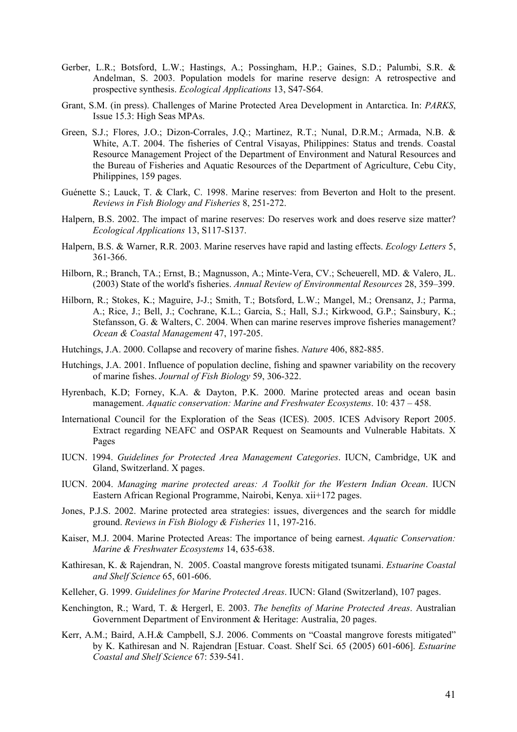- Gerber, L.R.; Botsford, L.W.; Hastings, A.; Possingham, H.P.; Gaines, S.D.; Palumbi, S.R. & Andelman, S. 2003. Population models for marine reserve design: A retrospective and prospective synthesis. *Ecological Applications* 13, S47-S64.
- Grant, S.M. (in press). Challenges of Marine Protected Area Development in Antarctica. In: *PARKS*, Issue 15.3: High Seas MPAs.
- Green, S.J.; Flores, J.O.; Dizon-Corrales, J.Q.; Martinez, R.T.; Nunal, D.R.M.; Armada, N.B. & White, A.T. 2004. The fisheries of Central Visayas, Philippines: Status and trends. Coastal Resource Management Project of the Department of Environment and Natural Resources and the Bureau of Fisheries and Aquatic Resources of the Department of Agriculture, Cebu City, Philippines, 159 pages.
- Guénette S.; Lauck, T. & Clark, C. 1998. Marine reserves: from Beverton and Holt to the present. *Reviews in Fish Biology and Fisheries* 8, 251-272.
- Halpern, B.S. 2002. The impact of marine reserves: Do reserves work and does reserve size matter? *Ecological Applications* 13, S117-S137.
- Halpern, B.S. & Warner, R.R. 2003. Marine reserves have rapid and lasting effects. *Ecology Letters* 5, 361-366.
- Hilborn, R.; Branch, TA.; Ernst, B.; Magnusson, A.; Minte-Vera, CV.; Scheuerell, MD. & Valero, JL. (2003) State of the world's fisheries. *Annual Review of Environmental Resources* 28, 359–399.
- Hilborn, R.; Stokes, K.; Maguire, J-J.; Smith, T.; Botsford, L.W.; Mangel, M.; Orensanz, J.; Parma, A.; Rice, J.; Bell, J.; Cochrane, K.L.; Garcia, S.; Hall, S.J.; Kirkwood, G.P.; Sainsbury, K.; Stefansson, G. & Walters, C. 2004. When can marine reserves improve fisheries management? *Ocean & Coastal Management* 47, 197-205.
- Hutchings, J.A. 2000. Collapse and recovery of marine fishes. *Nature* 406, 882-885.
- Hutchings, J.A. 2001. Influence of population decline, fishing and spawner variability on the recovery of marine fishes. *Journal of Fish Biology* 59, 306-322.
- Hyrenbach, K.D; Forney, K.A. & Dayton, P.K. 2000. Marine protected areas and ocean basin management. *Aquatic conservation: Marine and Freshwater Ecosystems*. 10: 437 – 458.
- International Council for the Exploration of the Seas (ICES). 2005. ICES Advisory Report 2005. Extract regarding NEAFC and OSPAR Request on Seamounts and Vulnerable Habitats. X Pages
- IUCN. 1994. *Guidelines for Protected Area Management Categories*. IUCN, Cambridge, UK and Gland, Switzerland. X pages.
- IUCN. 2004. *Managing marine protected areas: A Toolkit for the Western Indian Ocean*. IUCN Eastern African Regional Programme, Nairobi, Kenya. xii+172 pages.
- Jones, P.J.S. 2002. Marine protected area strategies: issues, divergences and the search for middle ground. *Reviews in Fish Biology & Fisheries* 11, 197-216.
- Kaiser, M.J. 2004. Marine Protected Areas: The importance of being earnest. *Aquatic Conservation: Marine & Freshwater Ecosystems* 14, 635-638.
- Kathiresan, K. & Rajendran, N. 2005. Coastal mangrove forests mitigated tsunami. *Estuarine Coastal and Shelf Science* 65, 601-606.
- Kelleher, G. 1999. *Guidelines for Marine Protected Areas*. IUCN: Gland (Switzerland), 107 pages.
- Kenchington, R.; Ward, T. & Hergerl, E. 2003. *The benefits of Marine Protected Areas*. Australian Government Department of Environment & Heritage: Australia, 20 pages.
- Kerr, A.M.; Baird, A.H.& Campbell, S.J. 2006. Comments on "Coastal mangrove forests mitigated" by K. Kathiresan and N. Rajendran [Estuar. Coast. Shelf Sci. 65 (2005) 601-606]. *Estuarine Coastal and Shelf Science* 67: 539-541.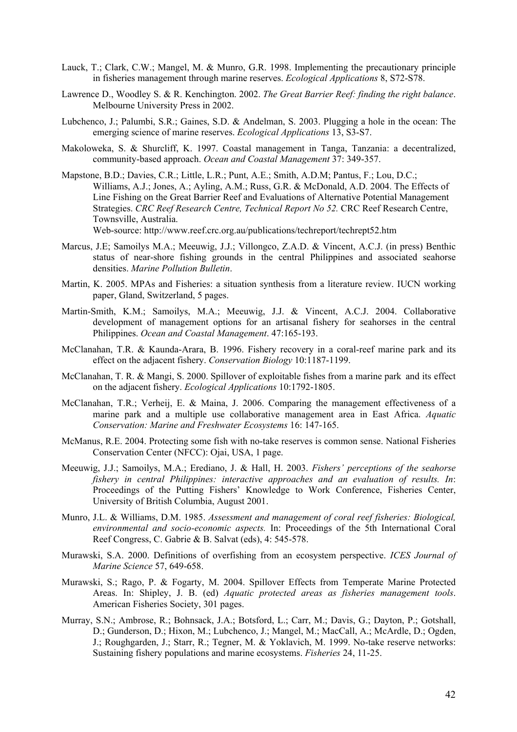- Lauck, T.; Clark, C.W.; Mangel, M. & Munro, G.R. 1998. Implementing the precautionary principle in fisheries management through marine reserves. *Ecological Applications* 8, S72-S78.
- Lawrence D., Woodley S. & R. Kenchington. 2002. *The Great Barrier Reef: finding the right balance*. Melbourne University Press in 2002.
- Lubchenco, J.; Palumbi, S.R.; Gaines, S.D. & Andelman, S. 2003. Plugging a hole in the ocean: The emerging science of marine reserves. *Ecological Applications* 13, S3-S7.
- Makoloweka, S. & Shurcliff, K. 1997. Coastal management in Tanga, Tanzania: a decentralized, community-based approach. *Ocean and Coastal Management* 37: 349-357.
- Mapstone, B.D.; Davies, C.R.; Little, L.R.; Punt, A.E.; Smith, A.D.M; Pantus, F.; Lou, D.C.; Williams, A.J.; Jones, A.; Ayling, A.M.; Russ, G.R. & McDonald, A.D. 2004. The Effects of Line Fishing on the Great Barrier Reef and Evaluations of Alternative Potential Management Strategies. *CRC Reef Research Centre, Technical Report No 52.* CRC Reef Research Centre, Townsville, Australia. Web-source: http://www.reef.crc.org.au/publications/techreport/techrept52.htm
- Marcus, J.E; Samoilys M.A.; Meeuwig, J.J.; Villongco, Z.A.D. & Vincent, A.C.J. (in press) Benthic status of near-shore fishing grounds in the central Philippines and associated seahorse densities. *Marine Pollution Bulletin*.
- Martin, K. 2005. MPAs and Fisheries: a situation synthesis from a literature review. IUCN working paper, Gland, Switzerland, 5 pages.
- Martin-Smith, K.M.; Samoilys, M.A.; Meeuwig, J.J. & Vincent, A.C.J. 2004. Collaborative development of management options for an artisanal fishery for seahorses in the central Philippines. *Ocean and Coastal Management*. 47:165-193.
- McClanahan, T.R. & Kaunda-Arara, B. 1996. Fishery recovery in a coral-reef marine park and its effect on the adjacent fishery. *Conservation Biology* 10:1187-1199.
- McClanahan, T. R. & Mangi, S. 2000. Spillover of exploitable fishes from a marine park and its effect on the adjacent fishery. *Ecological Applications* 10:1792-1805.
- McClanahan, T.R.; Verheij, E. & Maina, J. 2006. Comparing the management effectiveness of a marine park and a multiple use collaborative management area in East Africa. *Aquatic Conservation: Marine and Freshwater Ecosystems* 16: 147-165.
- McManus, R.E. 2004. Protecting some fish with no-take reserves is common sense. National Fisheries Conservation Center (NFCC): Ojai, USA, 1 page.
- Meeuwig, J.J.; Samoilys, M.A.; Erediano, J. & Hall, H. 2003. *Fishers' perceptions of the seahorse fishery in central Philippines: interactive approaches and an evaluation of results. In*: Proceedings of the Putting Fishers' Knowledge to Work Conference, Fisheries Center, University of British Columbia, August 2001.
- Munro, J.L. & Williams, D.M. 1985. *Assessment and management of coral reef fisheries: Biological, environmental and socio-economic aspects.* In: Proceedings of the 5th International Coral Reef Congress, C. Gabrie & B. Salvat (eds), 4: 545-578.
- Murawski, S.A. 2000. Definitions of overfishing from an ecosystem perspective. *ICES Journal of Marine Science* 57, 649-658.
- Murawski, S.; Rago, P. & Fogarty, M. 2004. Spillover Effects from Temperate Marine Protected Areas. In: Shipley, J. B. (ed) *Aquatic protected areas as fisheries management tools*. American Fisheries Society, 301 pages.
- Murray, S.N.; Ambrose, R.; Bohnsack, J.A.; Botsford, L.; Carr, M.; Davis, G.; Dayton, P.; Gotshall, D.; Gunderson, D.; Hixon, M.; Lubchenco, J.; Mangel, M.; MacCall, A.; McArdle, D.; Ogden, J.; Roughgarden, J.; Starr, R.; Tegner, M. & Yoklavich, M. 1999. No-take reserve networks: Sustaining fishery populations and marine ecosystems. *Fisheries* 24, 11-25.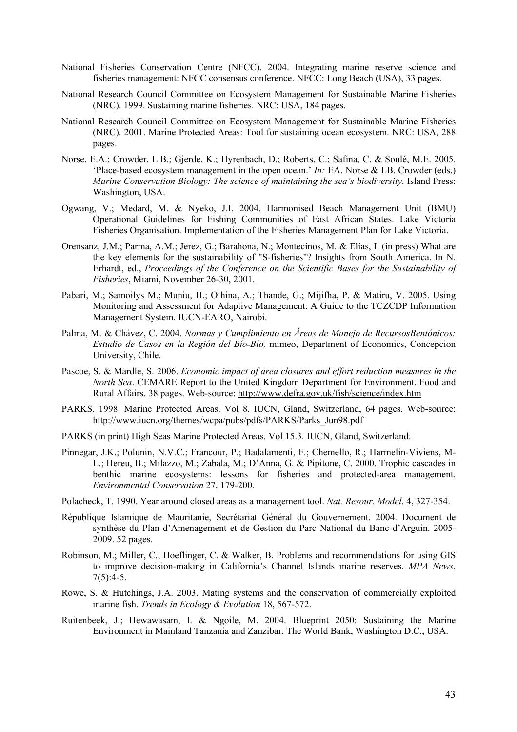- National Fisheries Conservation Centre (NFCC). 2004. Integrating marine reserve science and fisheries management: NFCC consensus conference. NFCC: Long Beach (USA), 33 pages.
- National Research Council Committee on Ecosystem Management for Sustainable Marine Fisheries (NRC). 1999. Sustaining marine fisheries. NRC: USA, 184 pages.
- National Research Council Committee on Ecosystem Management for Sustainable Marine Fisheries (NRC). 2001. Marine Protected Areas: Tool for sustaining ocean ecosystem. NRC: USA, 288 pages.
- Norse, E.A.; Crowder, L.B.; Gjerde, K.; Hyrenbach, D.; Roberts, C.; Safina, C. & Soulé, M.E. 2005. 'Place-based ecosystem management in the open ocean.' *In:* EA. Norse & LB. Crowder (eds.) *Marine Conservation Biology: The science of maintaining the sea's biodiversity*. Island Press: Washington, USA.
- Ogwang, V.; Medard, M. & Nyeko, J.I. 2004. Harmonised Beach Management Unit (BMU) Operational Guidelines for Fishing Communities of East African States. Lake Victoria Fisheries Organisation. Implementation of the Fisheries Management Plan for Lake Victoria.
- Orensanz, J.M.; Parma, A.M.; Jerez, G.; Barahona, N.; Montecinos, M. & Elías, I. (in press) What are the key elements for the sustainability of "S-fisheries"? Insights from South America. In N. Erhardt, ed., *Proceedings of the Conference on the Scientific Bases for the Sustainability of Fisheries*, Miami, November 26-30, 2001.
- Pabari, M.; Samoilys M.; Muniu, H.; Othina, A.; Thande, G.; Mijifha, P. & Matiru, V. 2005. Using Monitoring and Assessment for Adaptive Management: A Guide to the TCZCDP Information Management System. IUCN-EARO, Nairobi.
- Palma, M. & Chávez, C. 2004. *Normas y Cumplimiento en Áreas de Manejo de RecursosBentónicos: Estudio de Casos en la Región del Bío-Bío,* mimeo, Department of Economics, Concepcion University, Chile.
- Pascoe, S. & Mardle, S. 2006. *Economic impact of area closures and effort reduction measures in the North Sea*. CEMARE Report to the United Kingdom Department for Environment, Food and Rural Affairs. 38 pages. Web-source: http://www.defra.gov.uk/fish/science/index.htm
- PARKS. 1998. Marine Protected Areas. Vol 8. IUCN, Gland, Switzerland, 64 pages. Web-source: http://www.iucn.org/themes/wcpa/pubs/pdfs/PARKS/Parks\_Jun98.pdf
- PARKS (in print) High Seas Marine Protected Areas. Vol 15.3. IUCN, Gland, Switzerland.
- Pinnegar, J.K.; Polunin, N.V.C.; Francour, P.; Badalamenti, F.; Chemello, R.; Harmelin-Viviens, M-L.; Hereu, B.; Milazzo, M.; Zabala, M.; D'Anna, G. & Pipitone, C. 2000. Trophic cascades in benthic marine ecosystems: lessons for fisheries and protected-area management. *Environmental Conservation* 27, 179-200.
- Polacheck, T. 1990. Year around closed areas as a management tool. *Nat. Resour. Model*. 4, 327-354.
- République Islamique de Mauritanie, Secrétariat Général du Gouvernement. 2004. Document de synthèse du Plan d'Amenagement et de Gestion du Parc National du Banc d'Arguin. 2005- 2009. 52 pages.
- Robinson, M.; Miller, C.; Hoeflinger, C. & Walker, B. Problems and recommendations for using GIS to improve decision-making in California's Channel Islands marine reserves. *MPA News*,  $7(5):4-5.$
- Rowe, S. & Hutchings, J.A. 2003. Mating systems and the conservation of commercially exploited marine fish. *Trends in Ecology & Evolution* 18, 567-572.
- Ruitenbeek, J.; Hewawasam, I. & Ngoile, M. 2004. Blueprint 2050: Sustaining the Marine Environment in Mainland Tanzania and Zanzibar. The World Bank, Washington D.C., USA.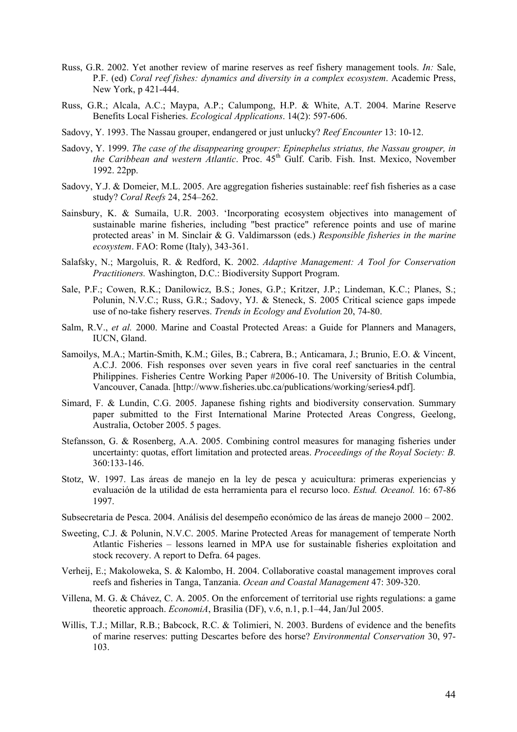- Russ, G.R. 2002. Yet another review of marine reserves as reef fishery management tools. *In:* Sale, P.F. (ed) *Coral reef fishes: dynamics and diversity in a complex ecosystem*. Academic Press, New York, p 421-444.
- Russ, G.R.; Alcala, A.C.; Maypa, A.P.; Calumpong, H.P. & White, A.T. 2004. Marine Reserve Benefits Local Fisheries. *Ecological Applications*. 14(2): 597-606.
- Sadovy, Y. 1993. The Nassau grouper, endangered or just unlucky? *Reef Encounter* 13: 10-12.
- Sadovy, Y. 1999. *The case of the disappearing grouper: Epinephelus striatus, the Nassau grouper, in the Caribbean and western Atlantic*. Proc. 45<sup>th</sup> Gulf. Carib. Fish. Inst. Mexico, November 1992. 22pp.
- Sadovy, Y.J. & Domeier, M.L. 2005. Are aggregation fisheries sustainable: reef fish fisheries as a case study? *Coral Reefs* 24, 254–262.
- Sainsbury, K. & Sumaila, U.R. 2003. 'Incorporating ecosystem objectives into management of sustainable marine fisheries, including "best practice" reference points and use of marine protected areas' in M. Sinclair & G. Valdimarsson (eds.) *Responsible fisheries in the marine ecosystem*. FAO: Rome (Italy), 343-361.
- Salafsky, N.; Margoluis, R. & Redford, K. 2002. *Adaptive Management: A Tool for Conservation Practitioners.* Washington, D.C.: Biodiversity Support Program.
- Sale, P.F.; Cowen, R.K.; Danilowicz, B.S.; Jones, G.P.; Kritzer, J.P.; Lindeman, K.C.; Planes, S.; Polunin, N.V.C.; Russ, G.R.; Sadovy, YJ. & Steneck, S. 2005 Critical science gaps impede use of no-take fishery reserves. *Trends in Ecology and Evolution* 20, 74-80.
- Salm, R.V., *et al.* 2000. Marine and Coastal Protected Areas: a Guide for Planners and Managers, IUCN, Gland.
- Samoilys, M.A.; Martin-Smith, K.M.; Giles, B.; Cabrera, B.; Anticamara, J.; Brunio, E.O. & Vincent, A.C.J. 2006. Fish responses over seven years in five coral reef sanctuaries in the central Philippines. Fisheries Centre Working Paper #2006-10. The University of British Columbia, Vancouver, Canada. [http://www.fisheries.ubc.ca/publications/working/series4.pdf].
- Simard, F. & Lundin, C.G. 2005. Japanese fishing rights and biodiversity conservation. Summary paper submitted to the First International Marine Protected Areas Congress, Geelong, Australia, October 2005. 5 pages.
- Stefansson, G. & Rosenberg, A.A. 2005. Combining control measures for managing fisheries under uncertainty: quotas, effort limitation and protected areas. *Proceedings of the Royal Society: B.* 360:133-146.
- Stotz, W. 1997. Las áreas de manejo en la ley de pesca y acuicultura: primeras experiencias y evaluación de la utilidad de esta herramienta para el recurso loco. *Estud. Oceanol.* 16: 67-86 1997.

Subsecretaria de Pesca. 2004. Análisis del desempeño económico de las áreas de manejo 2000 – 2002.

- Sweeting, C.J. & Polunin, N.V.C. 2005. Marine Protected Areas for management of temperate North Atlantic Fisheries – lessons learned in MPA use for sustainable fisheries exploitation and stock recovery. A report to Defra. 64 pages.
- Verheij, E.; Makoloweka, S. & Kalombo, H. 2004. Collaborative coastal management improves coral reefs and fisheries in Tanga, Tanzania. *Ocean and Coastal Management* 47: 309-320.
- Villena, M. G. & Chávez, C. A. 2005. On the enforcement of territorial use rights regulations: a game theoretic approach. *EconomiA*, Brasilia (DF), v.6, n.1, p.1–44, Jan/Jul 2005.
- Willis, T.J.; Millar, R.B.; Babcock, R.C. & Tolimieri, N. 2003. Burdens of evidence and the benefits of marine reserves: putting Descartes before des horse? *Environmental Conservation* 30, 97- 103.